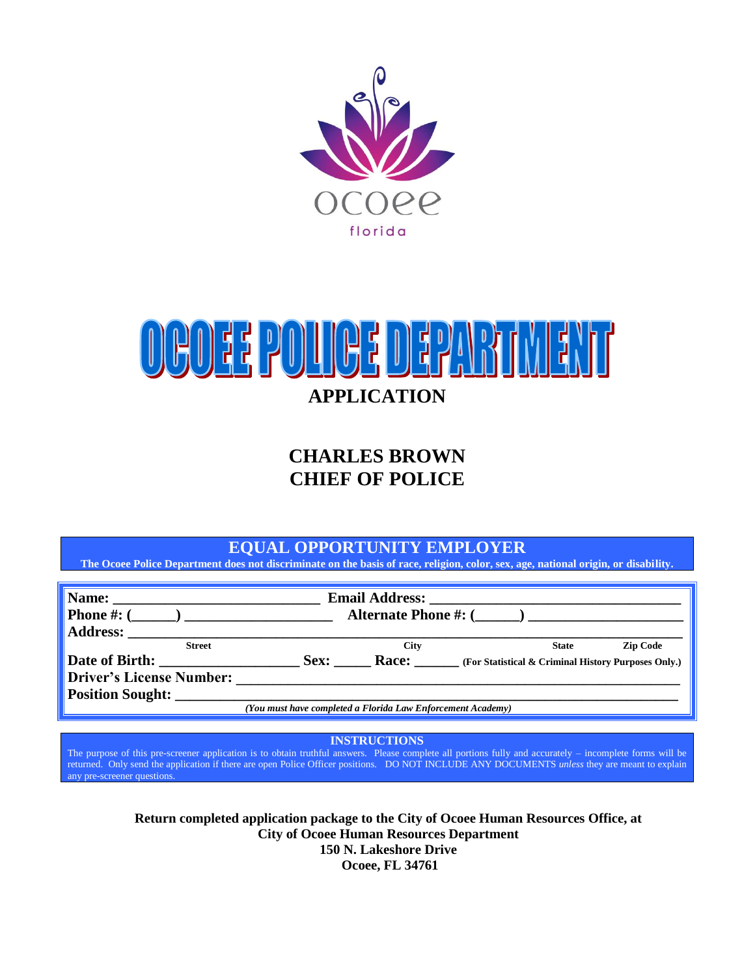



## **CHARLES BROWN CHIEF OF POLICE**

#### **EQUAL OPPORTUNITY EMPLOYER**

**The Ocoee Police Department does not discriminate on the basis of race, religion, color, sex, age, national origin, or disability.**

| Name:<br><u> 1980 - Andrea Andrew Maria (</u><br><b>Phone #:</b> $($<br>Address: |                                                             |                             | Alternate Phone $\#:$ $(\_\_\_\_)$                  |              |                 |
|----------------------------------------------------------------------------------|-------------------------------------------------------------|-----------------------------|-----------------------------------------------------|--------------|-----------------|
| <b>Street</b><br>Date of Birth:<br><b>Driver's License Number:</b>               | Sex:                                                        | <b>City</b><br><b>Race:</b> | (For Statistical & Criminal History Purposes Only.) | <b>State</b> | <b>Zip Code</b> |
| <b>Position Sought:</b>                                                          | (You must have completed a Florida Law Enforcement Academy) |                             |                                                     |              |                 |

**INSTRUCTIONS**

The purpose of this pre-screener application is to obtain truthful answers. Please complete all portions fully and accurately – incomplete forms will be returned. Only send the application if there are open Police Officer positions. DO NOT INCLUDE ANY DOCUMENTS *unless* they are meant to explain any pre-screener questions.

> **Return completed application package to the City of Ocoee Human Resources Office, at City of Ocoee Human Resources Department 150 N. Lakeshore Drive Ocoee, FL 34761**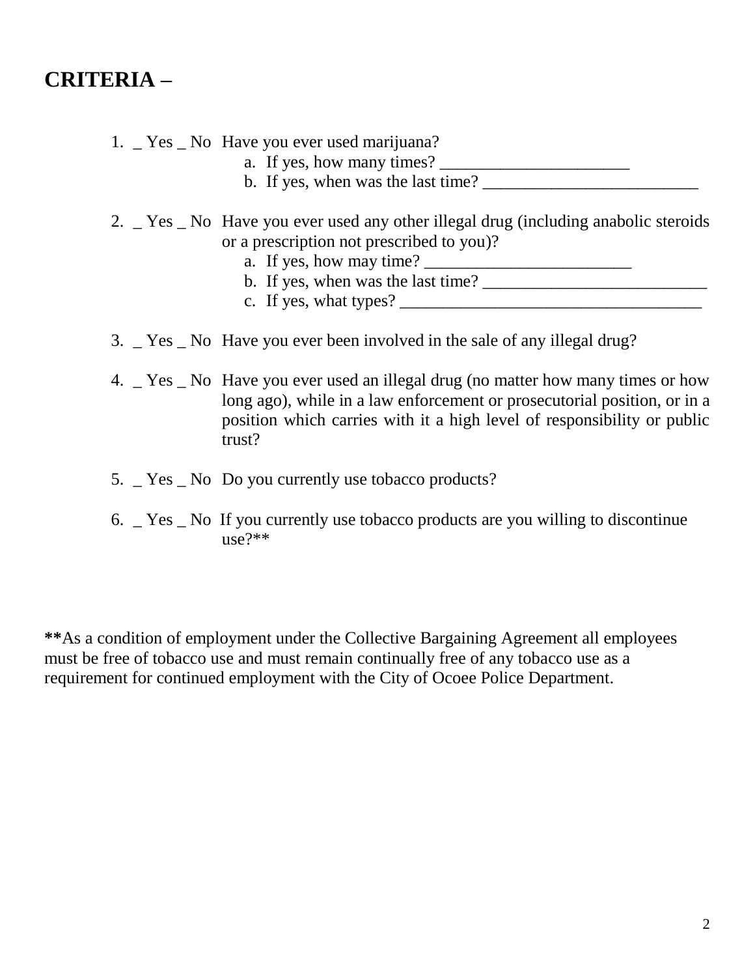## **CRITERIA –**

#### 1. \_ Yes \_ No Have you ever used marijuana?

- a. If yes, how many times?  $\frac{1}{\sqrt{1-\frac{1}{2}}}\left\vert \frac{1}{\sqrt{1-\frac{1}{2}}}\right\vert$
- b. If yes, when was the last time?

#### 2. \_ Yes \_ No Have you ever used any other illegal drug (including anabolic steroids or a prescription not prescribed to you)?

- a. If yes, how may time?
- b. If yes, when was the last time?
- c. If yes, what types?
- 3. \_ Yes \_ No Have you ever been involved in the sale of any illegal drug?
- 4. \_ Yes \_ No Have you ever used an illegal drug (no matter how many times or how long ago), while in a law enforcement or prosecutorial position, or in a position which carries with it a high level of responsibility or public trust?
- 5. \_ Yes \_ No Do you currently use tobacco products?
- 6. \_ Yes \_ No If you currently use tobacco products are you willing to discontinue  $use?**$

**\*\***As a condition of employment under the Collective Bargaining Agreement all employees must be free of tobacco use and must remain continually free of any tobacco use as a requirement for continued employment with the City of Ocoee Police Department.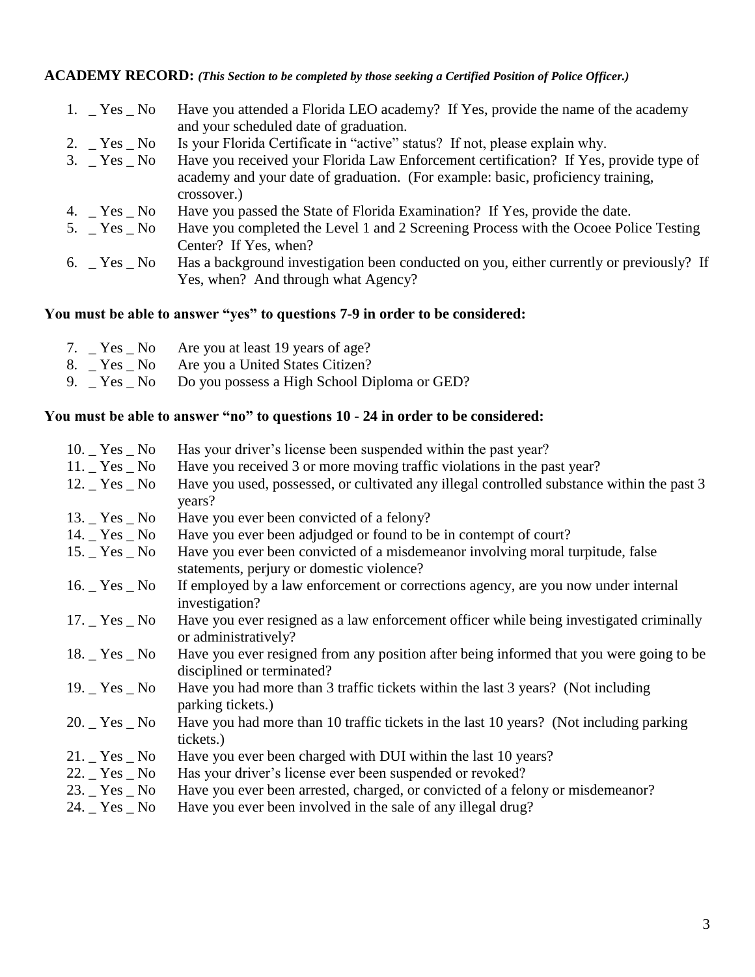#### **ACADEMY RECORD:** *(This Section to be completed by those seeking a Certified Position of Police Officer.)*

| 1. $Yes$ No     | Have you attended a Florida LEO academy? If Yes, provide the name of the academy               |
|-----------------|------------------------------------------------------------------------------------------------|
|                 | and your scheduled date of graduation.                                                         |
| 2. $Yes$ No     | Is your Florida Certificate in "active" status? If not, please explain why.                    |
| $3.$ $Yes$ $No$ | Have you received your Florida Law Enforcement certification? If Yes, provide type of          |
|                 | academy and your date of graduation. (For example: basic, proficiency training,<br>crossover.) |
| 4. $Yes$ No     | Have you passed the State of Florida Examination? If Yes, provide the date.                    |
| 5. $Yes$ No     | Have you completed the Level 1 and 2 Screening Process with the Ocoee Police Testing           |
|                 | Center? If Yes, when?                                                                          |
| 6. $Yes$ No     | Has a background investigation been conducted on you, either currently or previously? If       |
|                 | Yes, when? And through what Agency?                                                            |

#### **You must be able to answer "yes" to questions 7-9 in order to be considered:**

|  | 7. Pres No Are you at least 19 years of age?               |
|--|------------------------------------------------------------|
|  | 8. Yes No Are you a United States Citizen?                 |
|  | 9. _ Yes _ No Do you possess a High School Diploma or GED? |

#### **You must be able to answer "no" to questions 10 - 24 in order to be considered:**

| $10.$ $\_\text{Yes}$ $\_\text{No}$ | Has your driver's license been suspended within the past year?                                                              |
|------------------------------------|-----------------------------------------------------------------------------------------------------------------------------|
| $11.$ Yes $\_$ No                  | Have you received 3 or more moving traffic violations in the past year?                                                     |
| $12.$ $\_\text{Yes}\_\text{No}$    | Have you used, possessed, or cultivated any illegal controlled substance within the past 3<br>years?                        |
| $13.$ $\_\text{Yes}\_\text{No}$    | Have you ever been convicted of a felony?                                                                                   |
| $14.$ $\_\text{Yes}\_\text{No}$    | Have you ever been adjudged or found to be in contempt of court?                                                            |
| $15.$ $\_\text{Yes}$ $\_\text{No}$ | Have you ever been convicted of a misdemeanor involving moral turpitude, false<br>statements, perjury or domestic violence? |
| $16.$ Yes $\_$ No                  | If employed by a law enforcement or corrections agency, are you now under internal<br>investigation?                        |
| $17.$ Yes $\_$ No                  | Have you ever resigned as a law enforcement officer while being investigated criminally<br>or administratively?             |
| $18.$ $\_\text{Yes}$ $\_\text{No}$ | Have you ever resigned from any position after being informed that you were going to be<br>disciplined or terminated?       |
| 19. $Yes$ No                       | Have you had more than 3 traffic tickets within the last 3 years? (Not including<br>parking tickets.)                       |
| $20.$ Yes $\_$ No                  | Have you had more than 10 traffic tickets in the last 10 years? (Not including parking<br>tickets.)                         |
| $21.$ Yes $\_$ No                  | Have you ever been charged with DUI within the last 10 years?                                                               |
| $22.$ Yes $\_$ No                  | Has your driver's license ever been suspended or revoked?                                                                   |
| $23.$ $\_\text{Yes}\_\text{No}$    | Have you ever been arrested, charged, or convicted of a felony or misdemean or?                                             |
| 24. $Yes$ No                       | Have you ever been involved in the sale of any illegal drug?                                                                |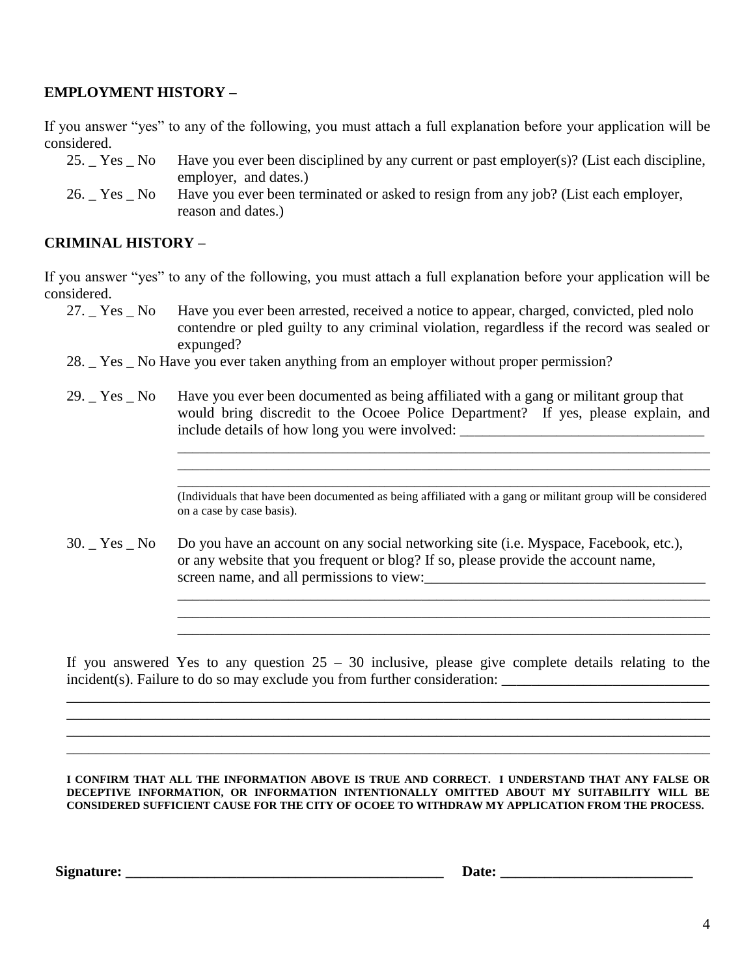#### **EMPLOYMENT HISTORY –**

If you answer "yes" to any of the following, you must attach a full explanation before your application will be considered.

- 25. \_ Yes \_ No Have you ever been disciplined by any current or past employer(s)? (List each discipline, employer, and dates.)
- 26. \_ Yes \_ No Have you ever been terminated or asked to resign from any job? (List each employer, reason and dates.)

#### **CRIMINAL HISTORY –**

If you answer "yes" to any of the following, you must attach a full explanation before your application will be considered.

- 27. \_ Yes \_ No Have you ever been arrested, received a notice to appear, charged, convicted, pled nolo contendre or pled guilty to any criminal violation, regardless if the record was sealed or expunged?
- 28. Yes No Have you ever taken anything from an employer without proper permission?
- 29. Yes No Have you ever been documented as being affiliated with a gang or militant group that would bring discredit to the Ocoee Police Department? If yes, please explain, and include details of how long you were involved: \_\_\_\_\_\_\_\_\_\_\_\_\_\_\_\_\_\_\_\_\_\_\_\_\_\_\_\_\_\_\_\_\_\_

\_\_\_\_\_\_\_\_\_\_\_\_\_\_\_\_\_\_\_\_\_\_\_\_\_\_\_\_\_\_\_\_\_\_\_\_\_\_\_\_\_\_\_\_\_\_\_\_\_\_\_\_\_\_\_\_\_\_\_\_\_\_\_\_\_\_\_\_\_\_\_\_

\_\_\_\_\_\_\_\_\_\_\_\_\_\_\_\_\_\_\_\_\_\_\_\_\_\_\_\_\_\_\_\_\_\_\_\_\_\_\_\_\_\_\_\_\_\_\_\_\_\_\_\_\_\_\_\_\_\_\_\_\_\_\_\_\_\_\_\_\_\_\_\_

\_\_\_\_\_\_\_\_\_\_\_\_\_\_\_\_\_\_\_\_\_\_\_\_\_\_\_\_\_\_\_\_\_\_\_\_\_\_\_\_\_\_\_\_\_\_\_\_\_\_\_\_\_\_\_\_\_\_\_\_\_\_\_\_\_\_\_\_\_\_\_\_ \_\_\_\_\_\_\_\_\_\_\_\_\_\_\_\_\_\_\_\_\_\_\_\_\_\_\_\_\_\_\_\_\_\_\_\_\_\_\_\_\_\_\_\_\_\_\_\_\_\_\_\_\_\_\_\_\_\_\_\_\_\_\_\_\_\_\_\_\_\_\_\_

30. \_ Yes \_ No Do you have an account on any social networking site (i.e. Myspace, Facebook, etc.), or any website that you frequent or blog? If so, please provide the account name, screen name, and all permissions to view:

If you answered Yes to any question  $25 - 30$  inclusive, please give complete details relating to the incident(s). Failure to do so may exclude you from further consideration: \_\_\_\_\_\_\_\_\_\_\_\_\_\_\_\_\_\_\_\_\_\_\_\_\_\_\_\_

\_\_\_\_\_\_\_\_\_\_\_\_\_\_\_\_\_\_\_\_\_\_\_\_\_\_\_\_\_\_\_\_\_\_\_\_\_\_\_\_\_\_\_\_\_\_\_\_\_\_\_\_\_\_\_\_\_\_\_\_\_\_\_\_\_\_\_\_\_\_\_\_\_\_\_\_\_\_\_\_\_\_\_\_\_\_\_ \_\_\_\_\_\_\_\_\_\_\_\_\_\_\_\_\_\_\_\_\_\_\_\_\_\_\_\_\_\_\_\_\_\_\_\_\_\_\_\_\_\_\_\_\_\_\_\_\_\_\_\_\_\_\_\_\_\_\_\_\_\_\_\_\_\_\_\_\_\_\_\_\_\_\_\_\_\_\_\_\_\_\_\_\_\_\_ \_\_\_\_\_\_\_\_\_\_\_\_\_\_\_\_\_\_\_\_\_\_\_\_\_\_\_\_\_\_\_\_\_\_\_\_\_\_\_\_\_\_\_\_\_\_\_\_\_\_\_\_\_\_\_\_\_\_\_\_\_\_\_\_\_\_\_\_\_\_\_\_\_\_\_\_\_\_\_\_\_\_\_\_\_\_\_ \_\_\_\_\_\_\_\_\_\_\_\_\_\_\_\_\_\_\_\_\_\_\_\_\_\_\_\_\_\_\_\_\_\_\_\_\_\_\_\_\_\_\_\_\_\_\_\_\_\_\_\_\_\_\_\_\_\_\_\_\_\_\_\_\_\_\_\_\_\_\_\_\_\_\_\_\_\_\_\_\_\_\_\_\_\_\_

**I CONFIRM THAT ALL THE INFORMATION ABOVE IS TRUE AND CORRECT. I UNDERSTAND THAT ANY FALSE OR DECEPTIVE INFORMATION, OR INFORMATION INTENTIONALLY OMITTED ABOUT MY SUITABILITY WILL BE CONSIDERED SUFFICIENT CAUSE FOR THE CITY OF OCOEE TO WITHDRAW MY APPLICATION FROM THE PROCESS.**

**Signature:**  $\qquad \qquad$   $\qquad \qquad$  Date:

\_\_\_\_\_\_\_\_\_\_\_\_\_\_\_\_\_\_\_\_\_\_\_\_\_\_\_\_\_\_\_\_\_\_\_\_\_\_\_\_\_\_\_\_\_\_\_\_\_\_\_\_\_\_\_\_\_\_\_\_\_\_\_\_\_\_\_\_\_\_\_\_ (Individuals that have been documented as being affiliated with a gang or militant group will be considered on a case by case basis).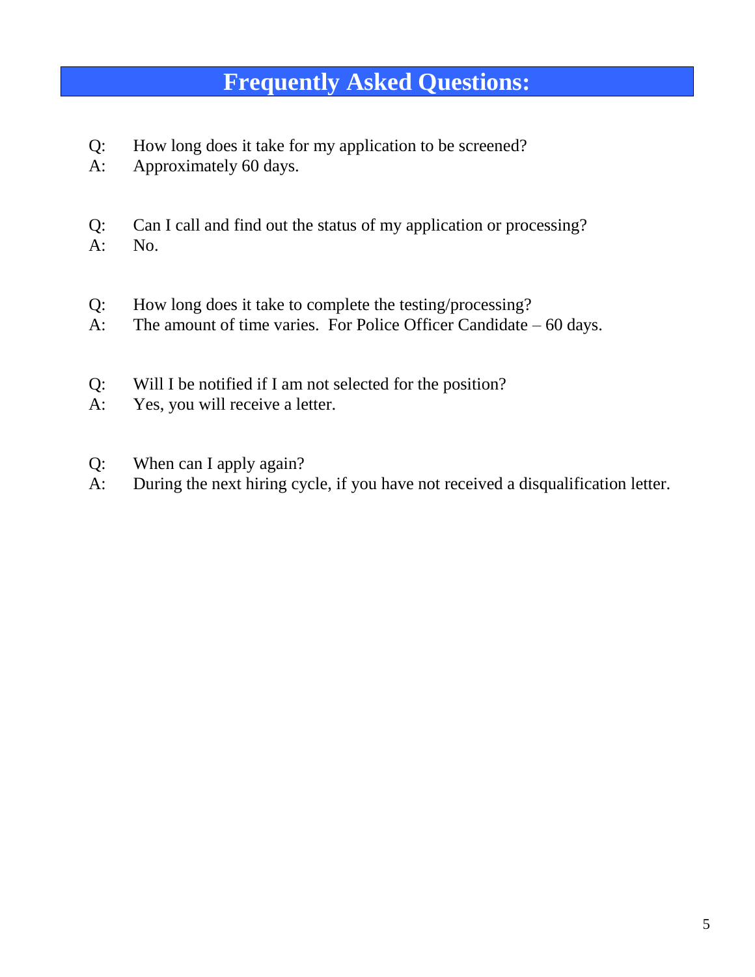## **Frequently Asked Questions:**

- Q: How long does it take for my application to be screened?
- A: Approximately 60 days.
- Q: Can I call and find out the status of my application or processing?
- A: No.
- Q: How long does it take to complete the testing/processing?
- A: The amount of time varies. For Police Officer Candidate 60 days.
- Q: Will I be notified if I am not selected for the position?
- A: Yes, you will receive a letter.
- Q: When can I apply again?
- A: During the next hiring cycle, if you have not received a disqualification letter.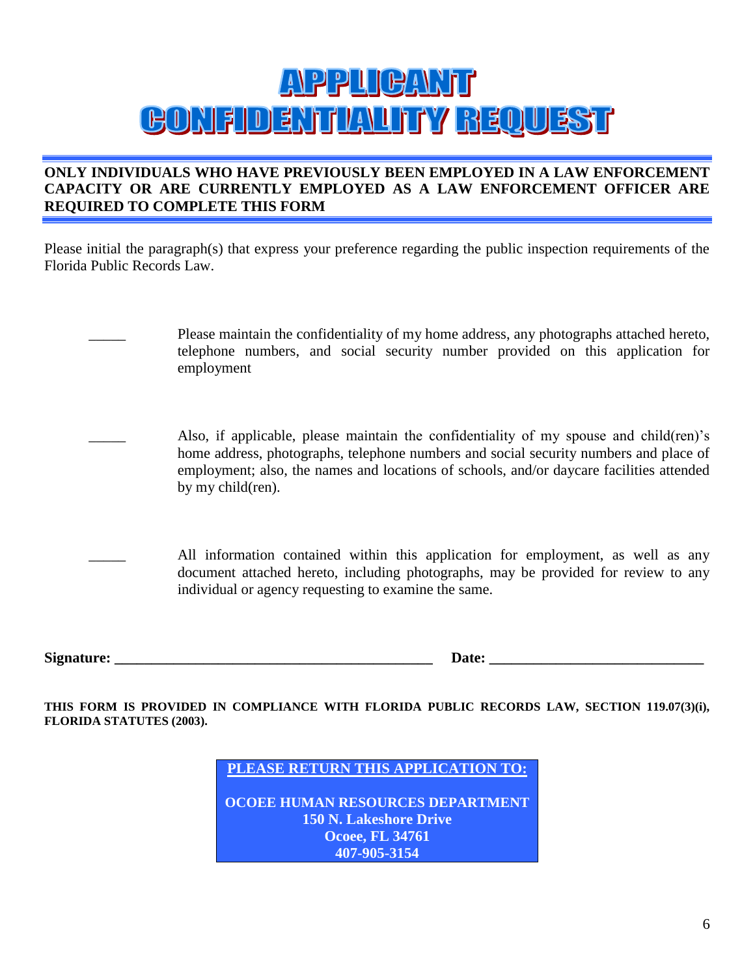# APPUGANT **GONFIDENTIALITY REQUEST**

#### **ONLY INDIVIDUALS WHO HAVE PREVIOUSLY BEEN EMPLOYED IN A LAW ENFORCEMENT CAPACITY OR ARE CURRENTLY EMPLOYED AS A LAW ENFORCEMENT OFFICER ARE REQUIRED TO COMPLETE THIS FORM**

Please initial the paragraph(s) that express your preference regarding the public inspection requirements of the Florida Public Records Law.

- Please maintain the confidentiality of my home address, any photographs attached hereto, telephone numbers, and social security number provided on this application for employment
- Also, if applicable, please maintain the confidentiality of my spouse and child(ren)'s home address, photographs, telephone numbers and social security numbers and place of employment; also, the names and locations of schools, and/or daycare facilities attended by my child(ren).
	- All information contained within this application for employment, as well as any document attached hereto, including photographs, may be provided for review to any individual or agency requesting to examine the same.

**Signature:**  $\blacksquare$ 

**THIS FORM IS PROVIDED IN COMPLIANCE WITH FLORIDA PUBLIC RECORDS LAW, SECTION 119.07(3)(i), FLORIDA STATUTES (2003).**

**PLEASE RETURN THIS APPLICATION TO:**

**OCOEE HUMAN RESOURCES DEPARTMENT 150 N. Lakeshore Drive Ocoee, FL 34761 407-905-3154**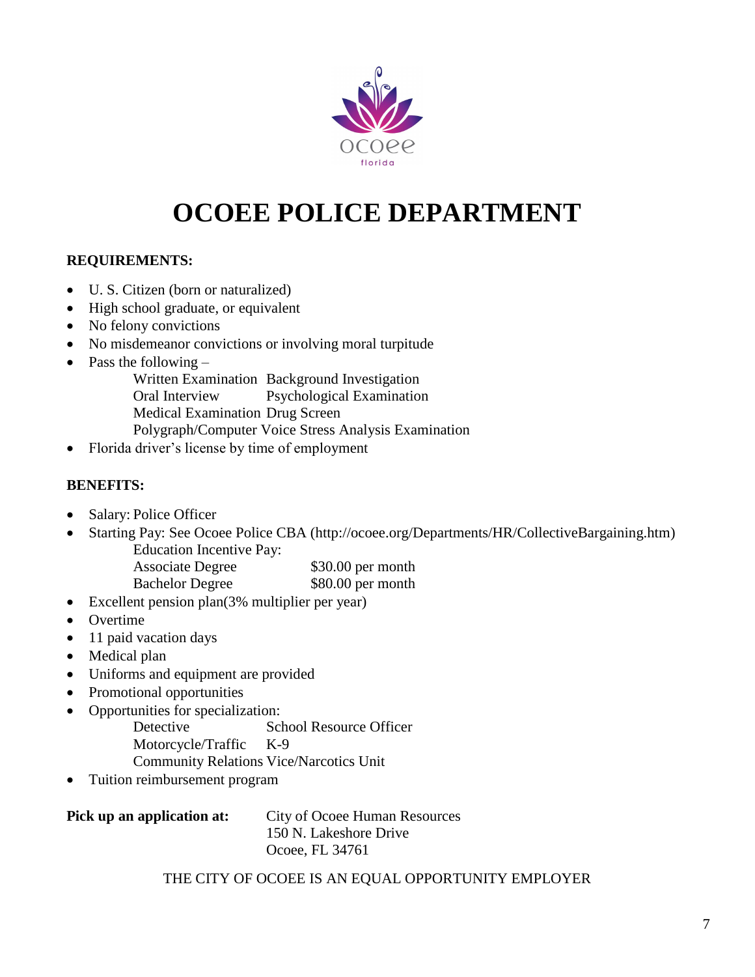

## **OCOEE POLICE DEPARTMENT**

#### **REQUIREMENTS:**

- U. S. Citizen (born or naturalized)
- High school graduate, or equivalent
- No felony convictions
- No misdemeanor convictions or involving moral turpitude
- Pass the following  $-$

Written Examination Background Investigation

Oral Interview Psychological Examination

Medical Examination Drug Screen

Polygraph/Computer Voice Stress Analysis Examination

Florida driver's license by time of employment

#### **BENEFITS:**

- Salary: Police Officer
- Starting Pay: See Ocoee Police CBA (http://ocoee.org/Departments/HR/CollectiveBargaining.htm) Education Incentive Pay:

| <b>Associate Degree</b> | \$30.00 per month |
|-------------------------|-------------------|
| <b>Bachelor Degree</b>  | \$80.00 per month |

- Excellent pension plan(3% multiplier per year)
- Overtime
- 11 paid vacation days
- Medical plan
- Uniforms and equipment are provided
- Promotional opportunities
- Opportunities for specialization:

Detective School Resource Officer

- Motorcycle/Traffic K-9
- Community Relations Vice/Narcotics Unit
- Tuition reimbursement program

| Pick up an application at: | City of Ocoee Human Resources |
|----------------------------|-------------------------------|
|                            | 150 N. Lakeshore Drive        |
|                            | Ocoee, FL 34761               |

THE CITY OF OCOEE IS AN EQUAL OPPORTUNITY EMPLOYER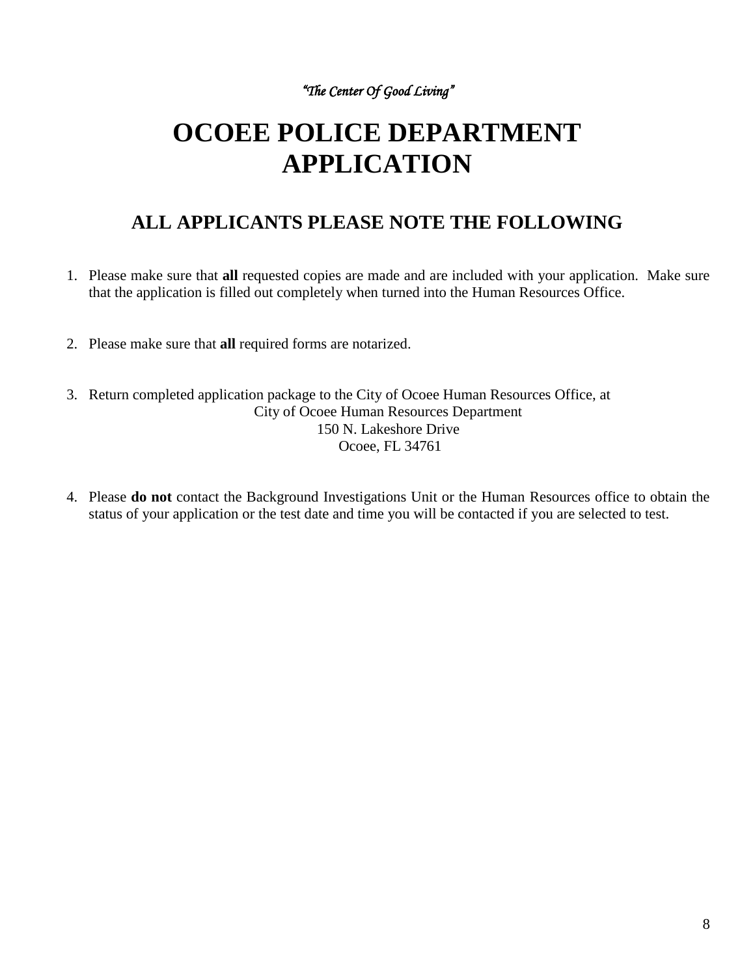*"The Center Of Good Living"* 

## **OCOEE POLICE DEPARTMENT APPLICATION**

## **ALL APPLICANTS PLEASE NOTE THE FOLLOWING**

- 1. Please make sure that **all** requested copies are made and are included with your application. Make sure that the application is filled out completely when turned into the Human Resources Office.
- 2. Please make sure that **all** required forms are notarized.
- 3. Return completed application package to the City of Ocoee Human Resources Office, at City of Ocoee Human Resources Department 150 N. Lakeshore Drive Ocoee, FL 34761
- 4. Please **do not** contact the Background Investigations Unit or the Human Resources office to obtain the status of your application or the test date and time you will be contacted if you are selected to test.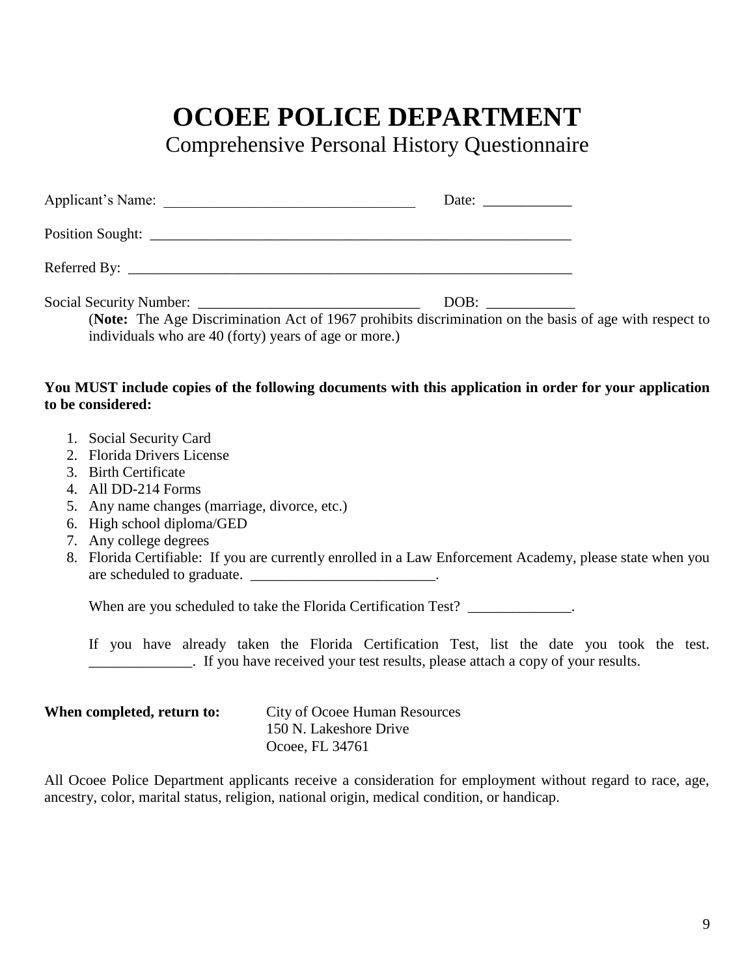## **OCOEE POLICE DEPARTMENT**

Comprehensive Personal History Questionnaire

| Applicant's Name:                                                                                                                                               | Date: $\frac{1}{\sqrt{1-\frac{1}{2}} \cdot \frac{1}{2}}$ |  |
|-----------------------------------------------------------------------------------------------------------------------------------------------------------------|----------------------------------------------------------|--|
|                                                                                                                                                                 |                                                          |  |
|                                                                                                                                                                 |                                                          |  |
| (Note: The Age Discrimination Act of 1967 prohibits discrimination on the basis of age with respect to<br>individuals who are 40 (forty) years of age or more.) | DOB:                                                     |  |
| You MUST include copies of the following documents with this application in order for your application<br>to be considered:                                     |                                                          |  |

- 1. Social Security Card
- 2. Florida Drivers License
- 3. Birth Certificate
- 4. All DD-214 Forms
- 5. Any name changes (marriage, divorce, etc.)
- 6. High school diploma/GED
- 7. Any college degrees
- 8. Florida Certifiable: If you are currently enrolled in a Law Enforcement Academy, please state when you are scheduled to graduate. \_\_\_\_\_\_\_\_\_\_\_\_\_\_\_\_\_\_\_\_\_\_\_\_\_\_\_\_.

When are you scheduled to take the Florida Certification Test? \_\_\_\_\_\_\_\_\_\_\_\_\_\_.

If you have already taken the Florida Certification Test, list the date you took the test. \_\_\_\_\_\_\_\_\_\_\_\_\_\_. If you have received your test results, please attach a copy of your results.

| When completed, return to: | City of Ocoee Human Resources |
|----------------------------|-------------------------------|
|                            | 150 N. Lakeshore Drive        |
|                            | Ocoee, FL 34761               |

All Ocoee Police Department applicants receive a consideration for employment without regard to race, age, ancestry, color, marital status, religion, national origin, medical condition, or handicap.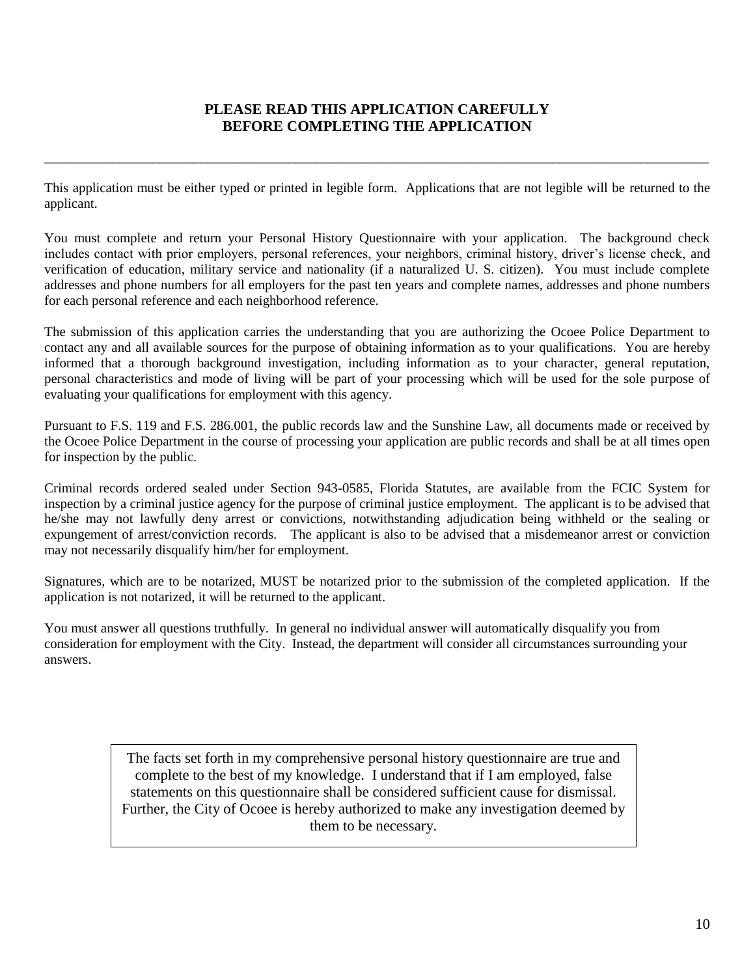#### **PLEASE READ THIS APPLICATION CAREFULLY BEFORE COMPLETING THE APPLICATION**

\_\_\_\_\_\_\_\_\_\_\_\_\_\_\_\_\_\_\_\_\_\_\_\_\_\_\_\_\_\_\_\_\_\_\_\_\_\_\_\_\_\_\_\_\_\_\_\_\_\_\_\_\_\_\_\_\_\_\_\_\_\_\_\_\_\_\_\_\_\_\_\_\_\_\_\_\_\_\_\_\_\_\_\_\_\_\_\_\_\_\_\_\_\_\_\_\_\_

This application must be either typed or printed in legible form. Applications that are not legible will be returned to the applicant.

You must complete and return your Personal History Questionnaire with your application. The background check includes contact with prior employers, personal references, your neighbors, criminal history, driver's license check, and verification of education, military service and nationality (if a naturalized U. S. citizen). You must include complete addresses and phone numbers for all employers for the past ten years and complete names, addresses and phone numbers for each personal reference and each neighborhood reference.

The submission of this application carries the understanding that you are authorizing the Ocoee Police Department to contact any and all available sources for the purpose of obtaining information as to your qualifications. You are hereby informed that a thorough background investigation, including information as to your character, general reputation, personal characteristics and mode of living will be part of your processing which will be used for the sole purpose of evaluating your qualifications for employment with this agency.

Pursuant to F.S. 119 and F.S. 286.001, the public records law and the Sunshine Law, all documents made or received by the Ocoee Police Department in the course of processing your application are public records and shall be at all times open for inspection by the public.

Criminal records ordered sealed under Section 943-0585, Florida Statutes, are available from the FCIC System for inspection by a criminal justice agency for the purpose of criminal justice employment. The applicant is to be advised that he/she may not lawfully deny arrest or convictions, notwithstanding adjudication being withheld or the sealing or expungement of arrest/conviction records. The applicant is also to be advised that a misdemeanor arrest or conviction may not necessarily disqualify him/her for employment.

Signatures, which are to be notarized, MUST be notarized prior to the submission of the completed application. If the application is not notarized, it will be returned to the applicant.

You must answer all questions truthfully. In general no individual answer will automatically disqualify you from consideration for employment with the City. Instead, the department will consider all circumstances surrounding your answers.

> The facts set forth in my comprehensive personal history questionnaire are true and complete to the best of my knowledge. I understand that if I am employed, false statements on this questionnaire shall be considered sufficient cause for dismissal. Further, the City of Ocoee is hereby authorized to make any investigation deemed by them to be necessary.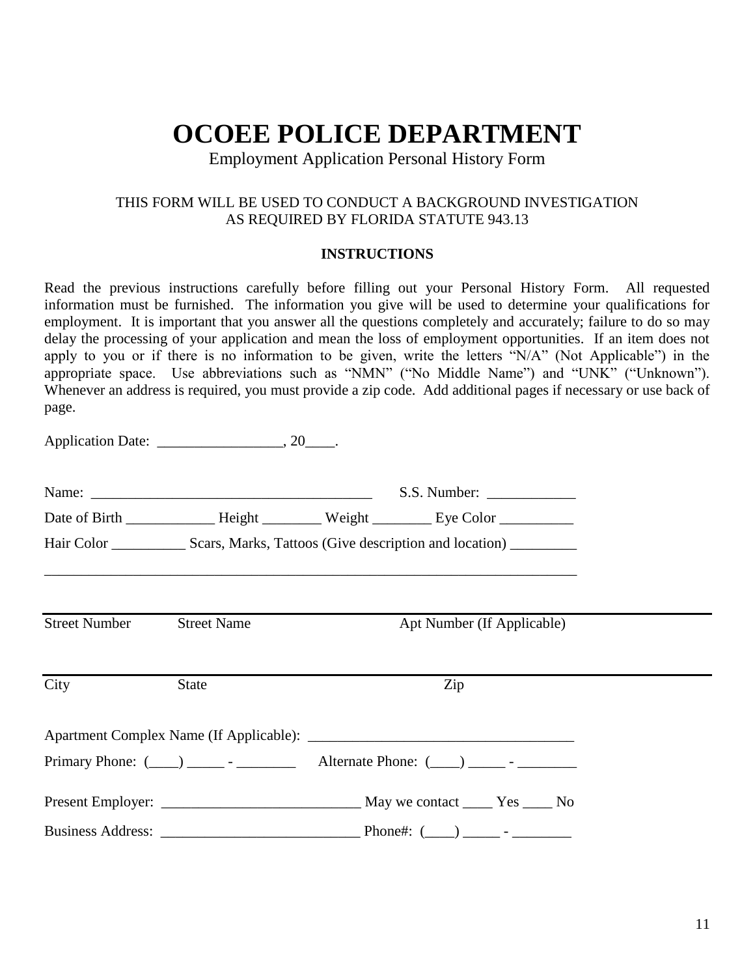## **OCOEE POLICE DEPARTMENT**

Employment Application Personal History Form

#### THIS FORM WILL BE USED TO CONDUCT A BACKGROUND INVESTIGATION AS REQUIRED BY FLORIDA STATUTE 943.13

#### **INSTRUCTIONS**

Read the previous instructions carefully before filling out your Personal History Form. All requested information must be furnished. The information you give will be used to determine your qualifications for employment. It is important that you answer all the questions completely and accurately; failure to do so may delay the processing of your application and mean the loss of employment opportunities. If an item does not apply to you or if there is no information to be given, write the letters "N/A" (Not Applicable") in the appropriate space. Use abbreviations such as "NMN" ("No Middle Name") and "UNK" ("Unknown"). Whenever an address is required, you must provide a zip code. Add additional pages if necessary or use back of page.

|                                  |              | Hair Color ________________ Scars, Marks, Tattoos (Give description and location) ___________ |  |
|----------------------------------|--------------|-----------------------------------------------------------------------------------------------|--|
| <b>Street Number</b> Street Name |              | Apt Number (If Applicable)                                                                    |  |
| City                             | <b>State</b> | Zip                                                                                           |  |
|                                  |              |                                                                                               |  |
|                                  |              |                                                                                               |  |
|                                  |              |                                                                                               |  |
|                                  |              |                                                                                               |  |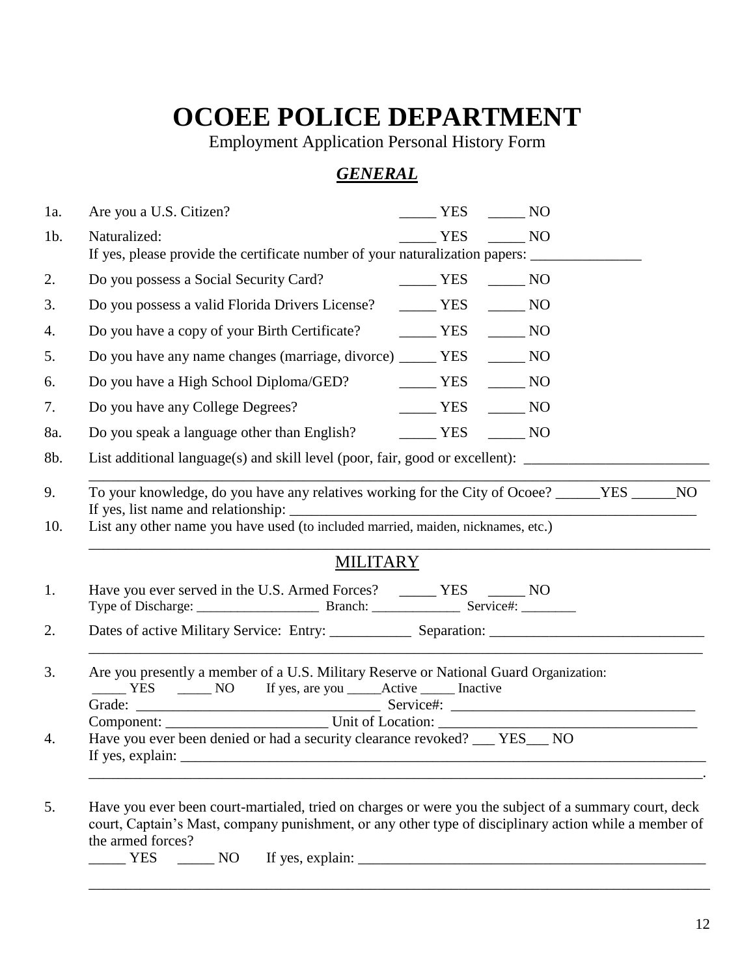## **OCOEE POLICE DEPARTMENT**

Employment Application Personal History Form

## *GENERAL*

| 1a.       | Are you a U.S. Citizen?                                                                                                                                                                                                                         | $\frac{1}{1}$ YES $\frac{1}{1}$ NO |  |  |
|-----------|-------------------------------------------------------------------------------------------------------------------------------------------------------------------------------------------------------------------------------------------------|------------------------------------|--|--|
| $1b$ .    | Naturalized:<br>If yes, please provide the certificate number of your naturalization papers: _______________________                                                                                                                            | YES NO                             |  |  |
| 2.        | Do you possess a Social Security Card?                                                                                                                                                                                                          | $YES$ NO                           |  |  |
| 3.        | Do you possess a valid Florida Drivers License? ______ YES _____ NO                                                                                                                                                                             |                                    |  |  |
| 4.        | Do you have a copy of your Birth Certificate? MES MO                                                                                                                                                                                            |                                    |  |  |
| 5.        | Do you have any name changes (marriage, divorce) _______ YES _______ NO                                                                                                                                                                         |                                    |  |  |
| 6.        | Do you have a High School Diploma/GED? ________ YES _______ NO                                                                                                                                                                                  |                                    |  |  |
| 7.        | Do you have any College Degrees?                                                                                                                                                                                                                | $\frac{1}{1}$ YES $\frac{1}{1}$ NO |  |  |
| 8a.       | Do you speak a language other than English? _________ YES _______ NO                                                                                                                                                                            |                                    |  |  |
| 8b.       | List additional language(s) and skill level (poor, fair, good or excellent): _______________________                                                                                                                                            |                                    |  |  |
| 9.<br>10. | To your knowledge, do you have any relatives working for the City of Ocoee? _____YES _____NO<br>List any other name you have used (to included married, maiden, nicknames, etc.)                                                                |                                    |  |  |
|           | <b>MILITARY</b>                                                                                                                                                                                                                                 |                                    |  |  |
| 1.        | Have you ever served in the U.S. Armed Forces? _______ YES _______ NO                                                                                                                                                                           |                                    |  |  |
| 2.        |                                                                                                                                                                                                                                                 |                                    |  |  |
| 3.        | Are you presently a member of a U.S. Military Reserve or National Guard Organization:<br>Component: Unit of Location:                                                                                                                           |                                    |  |  |
| 4.        | Have you ever been denied or had a security clearance revoked? _____ YES____ NO                                                                                                                                                                 |                                    |  |  |
| 5.        | Have you ever been court-martialed, tried on charges or were you the subject of a summary court, deck<br>court, Captain's Mast, company punishment, or any other type of disciplinary action while a member of<br>the armed forces?<br>$YES$ NO |                                    |  |  |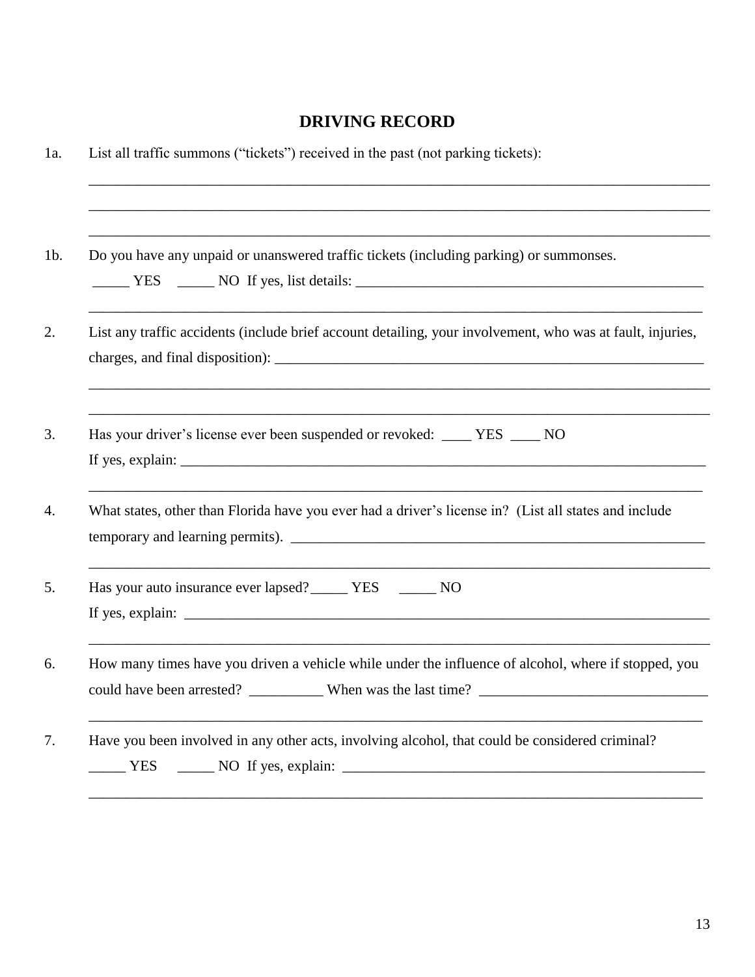### **DRIVING RECORD**

| Do you have any unpaid or unanswered traffic tickets (including parking) or summonses.                     |
|------------------------------------------------------------------------------------------------------------|
|                                                                                                            |
| List any traffic accidents (include brief account detailing, your involvement, who was at fault, injuries, |
|                                                                                                            |
| Has your driver's license ever been suspended or revoked: ____ YES ____ NO                                 |
|                                                                                                            |
| What states, other than Florida have you ever had a driver's license in? (List all states and include      |
| temporary and learning permits).                                                                           |
| Has your auto insurance ever lapsed? ________ YES ________ NO                                              |
|                                                                                                            |
| How many times have you driven a vehicle while under the influence of alcohol, where if stopped, you       |
| could have been arrested? _____________ When was the last time? ________________                           |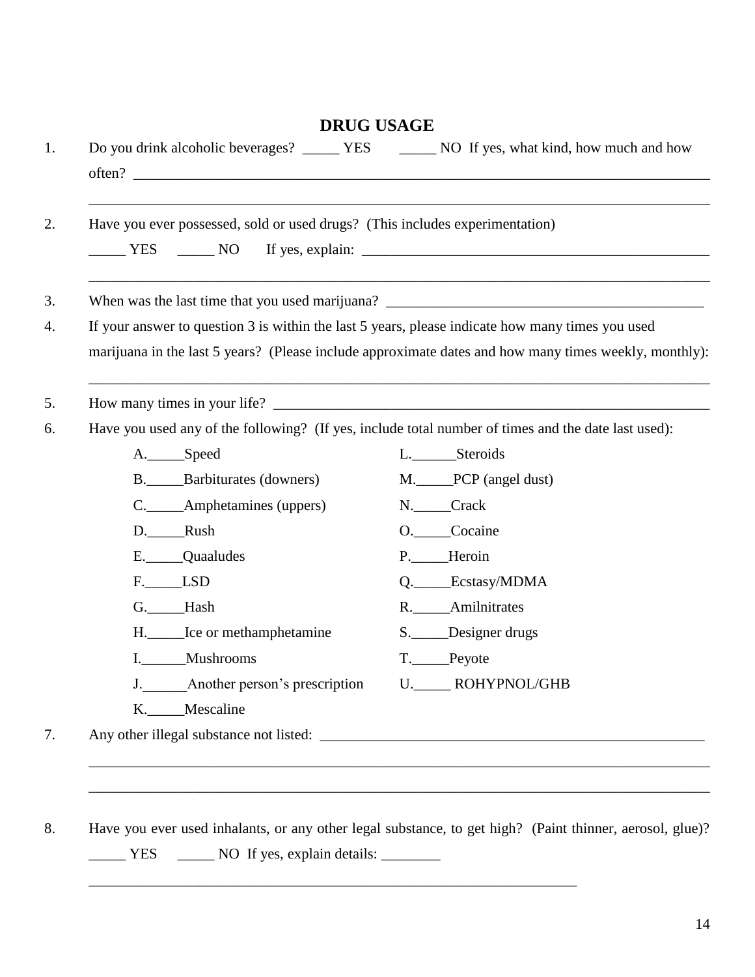|                                                                                                       | Have you ever possessed, sold or used drugs? (This includes experimentation) |
|-------------------------------------------------------------------------------------------------------|------------------------------------------------------------------------------|
|                                                                                                       |                                                                              |
|                                                                                                       |                                                                              |
| If your answer to question 3 is within the last 5 years, please indicate how many times you used      |                                                                              |
| marijuana in the last 5 years? (Please include approximate dates and how many times weekly, monthly): |                                                                              |
|                                                                                                       |                                                                              |
| Have you used any of the following? (If yes, include total number of times and the date last used):   |                                                                              |
| A. Speed                                                                                              | L.________Steroids                                                           |
| B. ______Barbiturates (downers)                                                                       | M. PCP (angel dust)                                                          |
| C._____Amphetamines (uppers)                                                                          | N. Crack                                                                     |
| D. Rush                                                                                               | O. Cocaine                                                                   |
| E. Quaaludes                                                                                          | P. Heroin                                                                    |
| F. LSD                                                                                                | Q. Ecstasy/MDMA                                                              |
| G. Hash                                                                                               | R. Amilnitrates                                                              |
| H. ______ Ice or methamphetamine                                                                      | S. Designer drugs                                                            |
| I. Mushrooms                                                                                          | T. Peyote                                                                    |
| J. Another person's prescription U. ROHYPNOL/GHB                                                      |                                                                              |
| K. _____ Mescaline                                                                                    |                                                                              |
|                                                                                                       |                                                                              |

\_\_\_\_\_\_\_\_\_\_\_\_\_\_\_\_\_\_\_\_\_\_\_\_\_\_\_\_\_\_\_\_\_\_\_\_\_\_\_\_\_\_\_\_\_\_\_\_\_\_\_\_\_\_\_\_\_\_\_\_\_\_\_\_\_\_

14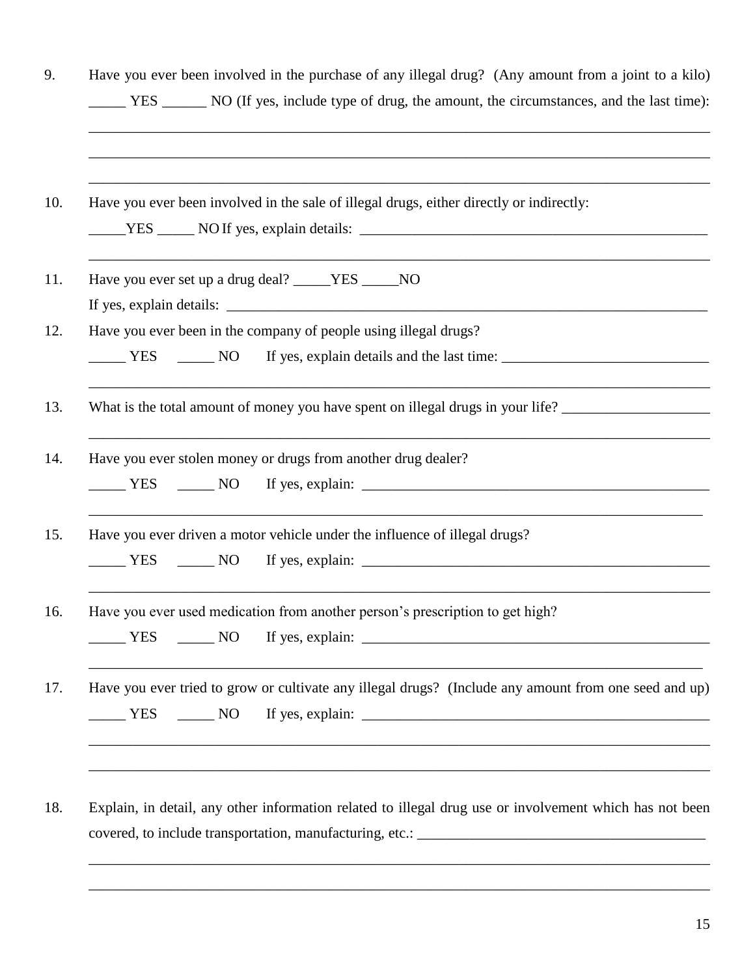|                                    | Have you ever been involved in the sale of illegal drugs, either directly or indirectly:                                                                                                                                                                                                                                                                                                                                                                                       |  |
|------------------------------------|--------------------------------------------------------------------------------------------------------------------------------------------------------------------------------------------------------------------------------------------------------------------------------------------------------------------------------------------------------------------------------------------------------------------------------------------------------------------------------|--|
|                                    | Have you ever set up a drug deal? _____YES _____NO                                                                                                                                                                                                                                                                                                                                                                                                                             |  |
|                                    | If yes, explain details: $\frac{1}{\sqrt{1-\frac{1}{\sqrt{1-\frac{1}{\sqrt{1-\frac{1}{\sqrt{1-\frac{1}{\sqrt{1-\frac{1}{\sqrt{1-\frac{1}{\sqrt{1-\frac{1}{\sqrt{1-\frac{1}{\sqrt{1-\frac{1}{\sqrt{1-\frac{1}{\sqrt{1-\frac{1}{\sqrt{1-\frac{1}{\sqrt{1-\frac{1}{\sqrt{1-\frac{1}{\sqrt{1-\frac{1}{\sqrt{1-\frac{1}{\sqrt{1-\frac{1}{\sqrt{1-\frac{1}{\sqrt{1-\frac{1}{\sqrt{1-\frac{1}{\sqrt{1-\frac{1}{\$<br>Have you ever been in the company of people using illegal drugs? |  |
| $\frac{1}{1}$ YES $\frac{1}{1}$ NO |                                                                                                                                                                                                                                                                                                                                                                                                                                                                                |  |
|                                    |                                                                                                                                                                                                                                                                                                                                                                                                                                                                                |  |
|                                    |                                                                                                                                                                                                                                                                                                                                                                                                                                                                                |  |
|                                    | Have you ever stolen money or drugs from another drug dealer?                                                                                                                                                                                                                                                                                                                                                                                                                  |  |
|                                    | <u>NES</u> NO If yes, explain: 16 metal and the Second Second Second Second Second Second Second Second Second Second Second Second Second Second Second Second Second Second Second Second Second Second Second Second Second Seco                                                                                                                                                                                                                                            |  |
|                                    | Have you ever driven a motor vehicle under the influence of illegal drugs?                                                                                                                                                                                                                                                                                                                                                                                                     |  |
| YES NO                             |                                                                                                                                                                                                                                                                                                                                                                                                                                                                                |  |
|                                    | Have you ever used medication from another person's prescription to get high?                                                                                                                                                                                                                                                                                                                                                                                                  |  |
|                                    | $YES$ $\qquad \qquad$ NO If yes, explain: $\qquad \qquad$                                                                                                                                                                                                                                                                                                                                                                                                                      |  |
|                                    | Have you ever tried to grow or cultivate any illegal drugs? (Include any amount from one seed and up)                                                                                                                                                                                                                                                                                                                                                                          |  |
| YES NO                             |                                                                                                                                                                                                                                                                                                                                                                                                                                                                                |  |

18. Explain, in detail, any other information related to illegal drug use or involvement which has not been covered, to include transportation, manufacturing, etc.: \_\_\_\_\_\_\_\_\_\_\_\_\_\_\_\_\_\_\_\_\_\_\_\_\_\_\_\_\_\_\_\_\_\_\_\_\_\_\_

\_\_\_\_\_\_\_\_\_\_\_\_\_\_\_\_\_\_\_\_\_\_\_\_\_\_\_\_\_\_\_\_\_\_\_\_\_\_\_\_\_\_\_\_\_\_\_\_\_\_\_\_\_\_\_\_\_\_\_\_\_\_\_\_\_\_\_\_\_\_\_\_\_\_\_\_\_\_\_\_\_\_\_\_

\_\_\_\_\_\_\_\_\_\_\_\_\_\_\_\_\_\_\_\_\_\_\_\_\_\_\_\_\_\_\_\_\_\_\_\_\_\_\_\_\_\_\_\_\_\_\_\_\_\_\_\_\_\_\_\_\_\_\_\_\_\_\_\_\_\_\_\_\_\_\_\_\_\_\_\_\_\_\_\_\_\_\_\_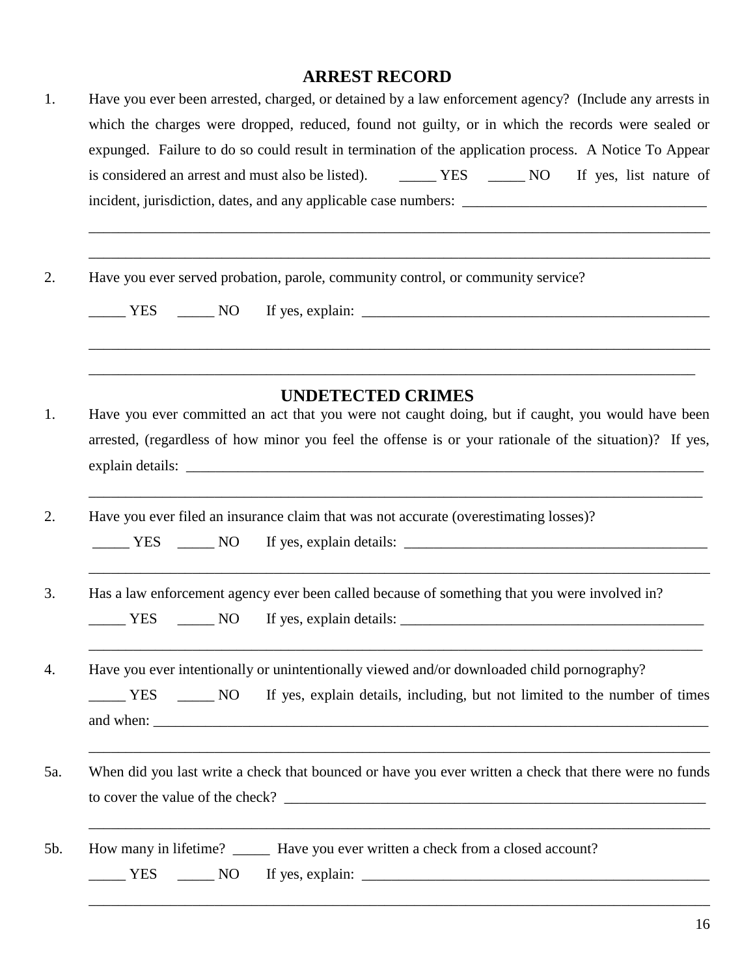### **ARREST RECORD**

| 1.  | Have you ever been arrested, charged, or detained by a law enforcement agency? (Include any arrests in<br>which the charges were dropped, reduced, found not guilty, or in which the records were sealed or  |  |  |  |  |  |  |
|-----|--------------------------------------------------------------------------------------------------------------------------------------------------------------------------------------------------------------|--|--|--|--|--|--|
|     | expunged. Failure to do so could result in termination of the application process. A Notice To Appear                                                                                                        |  |  |  |  |  |  |
|     | is considered an arrest and must also be listed). THES THE NO If yes, list nature of                                                                                                                         |  |  |  |  |  |  |
|     |                                                                                                                                                                                                              |  |  |  |  |  |  |
| 2.  | Have you ever served probation, parole, community control, or community service?                                                                                                                             |  |  |  |  |  |  |
|     | $\frac{1}{1}$ YES $\frac{1}{1}$ NO                                                                                                                                                                           |  |  |  |  |  |  |
|     | <b>UNDETECTED CRIMES</b>                                                                                                                                                                                     |  |  |  |  |  |  |
| 1.  | Have you ever committed an act that you were not caught doing, but if caught, you would have been<br>arrested, (regardless of how minor you feel the offense is or your rationale of the situation)? If yes, |  |  |  |  |  |  |
| 2.  | Have you ever filed an insurance claim that was not accurate (overestimating losses)?<br>$YES$ NO                                                                                                            |  |  |  |  |  |  |
|     |                                                                                                                                                                                                              |  |  |  |  |  |  |
| 3.  | Has a law enforcement agency ever been called because of something that you were involved in?                                                                                                                |  |  |  |  |  |  |
|     | $\frac{1}{\sqrt{1-\frac{1}{2}}}\text{NO}$<br>YES                                                                                                                                                             |  |  |  |  |  |  |
| 4.  | Have you ever intentionally or unintentionally viewed and/or downloaded child pornography?                                                                                                                   |  |  |  |  |  |  |
|     |                                                                                                                                                                                                              |  |  |  |  |  |  |
| 5a. | When did you last write a check that bounced or have you ever written a check that there were no funds                                                                                                       |  |  |  |  |  |  |
| 5b. | How many in lifetime? _______ Have you ever written a check from a closed account?                                                                                                                           |  |  |  |  |  |  |
|     |                                                                                                                                                                                                              |  |  |  |  |  |  |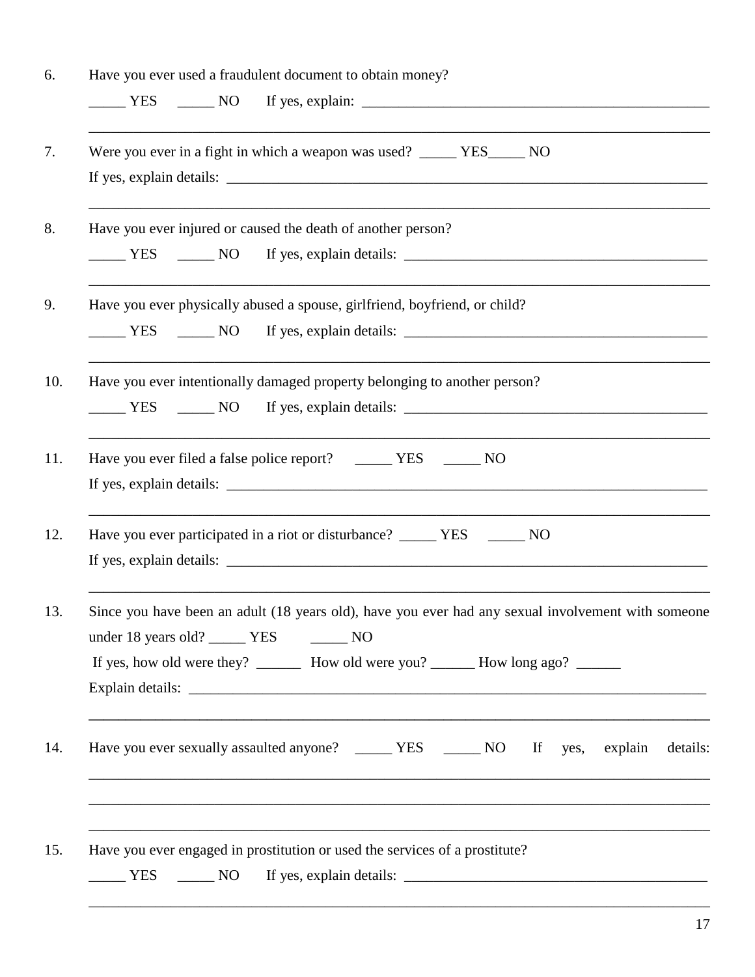| Have you ever used a fraudulent document to obtain money?                                                                                                                                                                                     |  |
|-----------------------------------------------------------------------------------------------------------------------------------------------------------------------------------------------------------------------------------------------|--|
|                                                                                                                                                                                                                                               |  |
| Were you ever in a fight in which a weapon was used? _____ YES_____ NO                                                                                                                                                                        |  |
| Have you ever injured or caused the death of another person?                                                                                                                                                                                  |  |
| Have you ever physically abused a spouse, girlfriend, boyfriend, or child?                                                                                                                                                                    |  |
| Have you ever intentionally damaged property belonging to another person?                                                                                                                                                                     |  |
| Have you ever filed a false police report? _______ YES _______ NO                                                                                                                                                                             |  |
| Have you ever participated in a riot or disturbance? ________ YES ________ NO                                                                                                                                                                 |  |
| Since you have been an adult (18 years old), have you ever had any sexual involvement with someone<br>under 18 years old? ________ YES _________ NO<br>If yes, how old were they? _________ How old were you? _________ How long ago? _______ |  |
| details:                                                                                                                                                                                                                                      |  |
| Have you ever engaged in prostitution or used the services of a prostitute?                                                                                                                                                                   |  |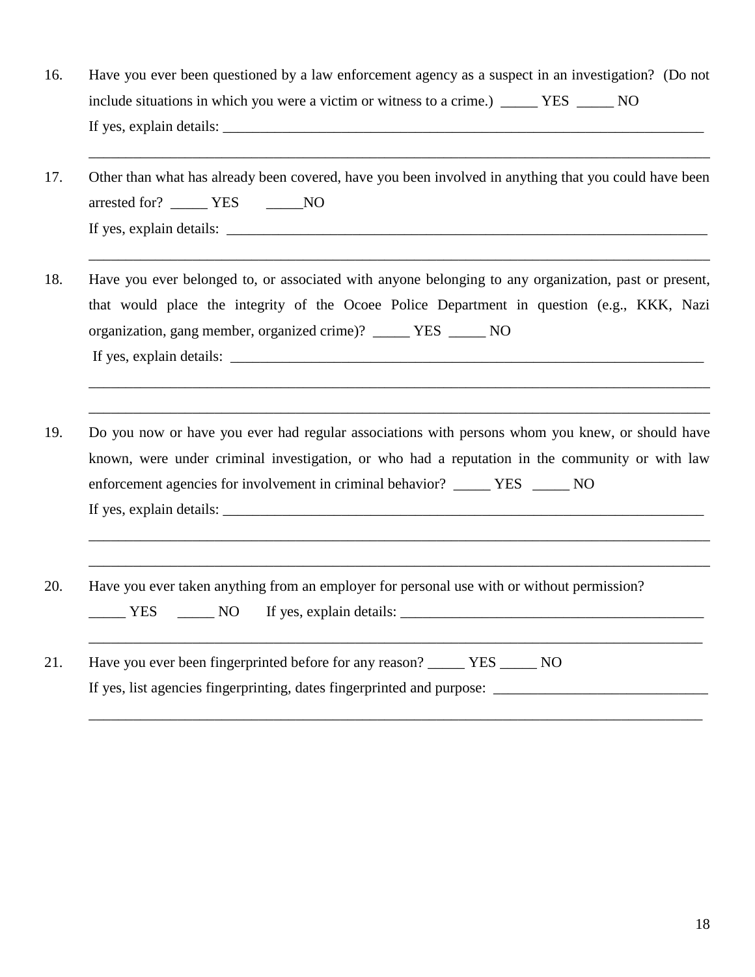16. Have you ever been questioned by a law enforcement agency as a suspect in an investigation? (Do not include situations in which you were a victim or witness to a crime.) \_\_\_\_\_ YES \_\_\_\_\_ NO If yes, explain details: \_\_\_\_\_\_\_\_\_\_\_\_\_\_\_\_\_\_\_\_\_\_\_\_\_\_\_\_\_\_\_\_\_\_\_\_\_\_\_\_\_\_\_\_\_\_\_\_\_\_\_\_\_\_\_\_\_\_\_\_\_\_\_\_\_

17. Other than what has already been covered, have you been involved in anything that you could have been arrested for? \_\_\_\_\_\_ YES \_\_\_\_\_\_\_NO If yes, explain details:  $\Box$ 

\_\_\_\_\_\_\_\_\_\_\_\_\_\_\_\_\_\_\_\_\_\_\_\_\_\_\_\_\_\_\_\_\_\_\_\_\_\_\_\_\_\_\_\_\_\_\_\_\_\_\_\_\_\_\_\_\_\_\_\_\_\_\_\_\_\_\_\_\_\_\_\_\_\_\_\_\_\_\_\_\_\_\_\_

\_\_\_\_\_\_\_\_\_\_\_\_\_\_\_\_\_\_\_\_\_\_\_\_\_\_\_\_\_\_\_\_\_\_\_\_\_\_\_\_\_\_\_\_\_\_\_\_\_\_\_\_\_\_\_\_\_\_\_\_\_\_\_\_\_\_\_\_\_\_\_\_\_\_\_\_\_\_\_\_\_\_\_\_

\_\_\_\_\_\_\_\_\_\_\_\_\_\_\_\_\_\_\_\_\_\_\_\_\_\_\_\_\_\_\_\_\_\_\_\_\_\_\_\_\_\_\_\_\_\_\_\_\_\_\_\_\_\_\_\_\_\_\_\_\_\_\_\_\_\_\_\_\_\_\_\_\_\_\_\_\_\_\_\_\_\_\_\_

\_\_\_\_\_\_\_\_\_\_\_\_\_\_\_\_\_\_\_\_\_\_\_\_\_\_\_\_\_\_\_\_\_\_\_\_\_\_\_\_\_\_\_\_\_\_\_\_\_\_\_\_\_\_\_\_\_\_\_\_\_\_\_\_\_\_\_\_\_\_\_\_\_\_\_\_\_\_\_\_\_\_\_\_

\_\_\_\_\_\_\_\_\_\_\_\_\_\_\_\_\_\_\_\_\_\_\_\_\_\_\_\_\_\_\_\_\_\_\_\_\_\_\_\_\_\_\_\_\_\_\_\_\_\_\_\_\_\_\_\_\_\_\_\_\_\_\_\_\_\_\_\_\_\_\_\_\_\_\_\_\_\_\_\_\_\_\_\_

\_\_\_\_\_\_\_\_\_\_\_\_\_\_\_\_\_\_\_\_\_\_\_\_\_\_\_\_\_\_\_\_\_\_\_\_\_\_\_\_\_\_\_\_\_\_\_\_\_\_\_\_\_\_\_\_\_\_\_\_\_\_\_\_\_\_\_\_\_\_\_\_\_\_\_\_\_\_\_\_\_\_\_\_

\_\_\_\_\_\_\_\_\_\_\_\_\_\_\_\_\_\_\_\_\_\_\_\_\_\_\_\_\_\_\_\_\_\_\_\_\_\_\_\_\_\_\_\_\_\_\_\_\_\_\_\_\_\_\_\_\_\_\_\_\_\_\_\_\_\_\_\_\_\_\_\_\_\_\_\_\_\_\_\_\_\_\_

\_\_\_\_\_\_\_\_\_\_\_\_\_\_\_\_\_\_\_\_\_\_\_\_\_\_\_\_\_\_\_\_\_\_\_\_\_\_\_\_\_\_\_\_\_\_\_\_\_\_\_\_\_\_\_\_\_\_\_\_\_\_\_\_\_\_\_\_\_\_\_\_\_\_\_\_\_\_\_\_\_\_\_

- 18. Have you ever belonged to, or associated with anyone belonging to any organization, past or present, that would place the integrity of the Ocoee Police Department in question (e.g., KKK, Nazi organization, gang member, organized crime)? \_\_\_\_\_ YES \_\_\_\_\_ NO If yes, explain details: \_\_\_\_\_\_\_\_\_\_\_\_\_\_\_\_\_\_\_\_\_\_\_\_\_\_\_\_\_\_\_\_\_\_\_\_\_\_\_\_\_\_\_\_\_\_\_\_\_\_\_\_\_\_\_\_\_\_\_\_\_\_\_\_
- 19. Do you now or have you ever had regular associations with persons whom you knew, or should have known, were under criminal investigation, or who had a reputation in the community or with law enforcement agencies for involvement in criminal behavior? \_\_\_\_\_ YES \_\_\_\_\_ NO If yes, explain details: \_\_\_\_\_\_\_\_\_\_\_\_\_\_\_\_\_\_\_\_\_\_\_\_\_\_\_\_\_\_\_\_\_\_\_\_\_\_\_\_\_\_\_\_\_\_\_\_\_\_\_\_\_\_\_\_\_\_\_\_\_\_\_\_\_
- 20. Have you ever taken anything from an employer for personal use with or without permission? \_\_\_\_\_ YES \_\_\_\_\_ NO If yes, explain details: \_\_\_\_\_\_\_\_\_\_\_\_\_\_\_\_\_\_\_\_\_\_\_\_\_\_\_\_\_\_\_\_\_\_\_\_\_\_\_\_\_
- 21. Have you ever been fingerprinted before for any reason? \_\_\_\_\_\_ YES \_\_\_\_\_ NO If yes, list agencies fingerprinting, dates fingerprinted and purpose: \_\_\_\_\_\_\_\_\_\_\_\_\_\_\_\_\_\_\_\_\_\_\_\_\_\_\_\_\_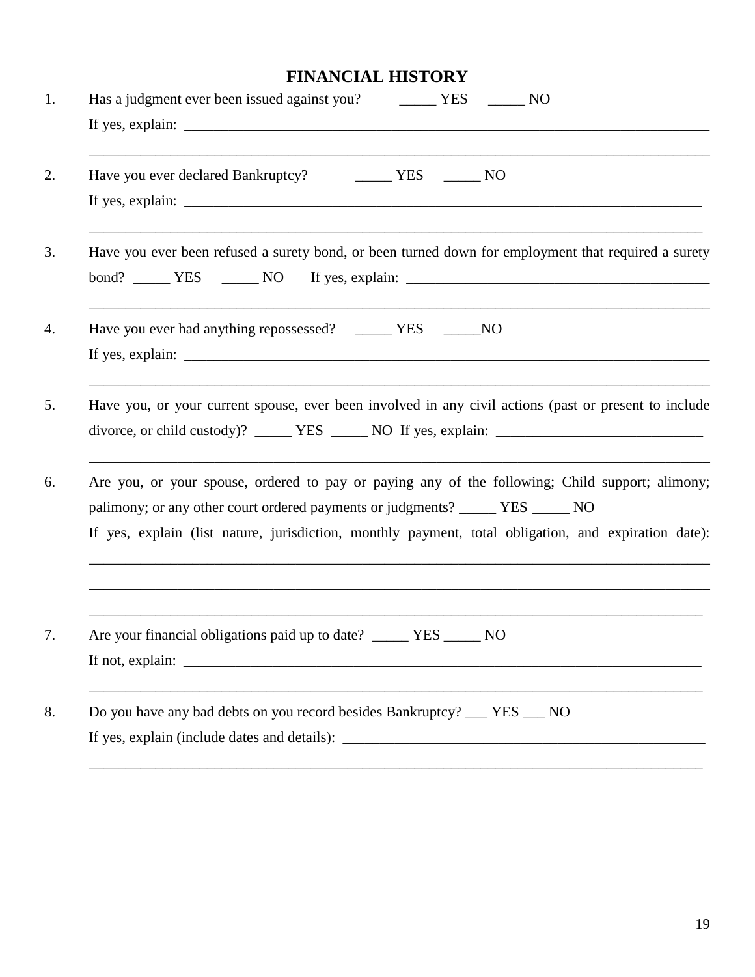## **FINANCIAL HISTORY**

| Has a judgment ever been issued against you? ________ YES _______ NO<br>If yes, explain:                                                                                                                                                                                                         |
|--------------------------------------------------------------------------------------------------------------------------------------------------------------------------------------------------------------------------------------------------------------------------------------------------|
| Have you ever declared Bankruptcy? Manuson NO<br>If yes, explain: $\sqrt{ }$                                                                                                                                                                                                                     |
| Have you ever been refused a surety bond, or been turned down for employment that required a surety                                                                                                                                                                                              |
| Have you ever had anything repossessed? ______ YES ______ NO<br>If yes, explain: $\frac{1}{2}$ is the set of the set of the set of the set of the set of the set of the set of the set of the set of the set of the set of the set of the set of the set of the set of the set of the set of the |
| Have you, or your current spouse, ever been involved in any civil actions (past or present to include                                                                                                                                                                                            |
| Are you, or your spouse, ordered to pay or paying any of the following; Child support; alimony;<br>palimony; or any other court ordered payments or judgments? _______ YES ______ NO<br>If yes, explain (list nature, jurisdiction, monthly payment, total obligation, and expiration date):     |
| Are your financial obligations paid up to date? _____ YES.<br><b>NO</b>                                                                                                                                                                                                                          |
| Do you have any bad debts on you record besides Bankruptcy? ___ YES ___ NO                                                                                                                                                                                                                       |
|                                                                                                                                                                                                                                                                                                  |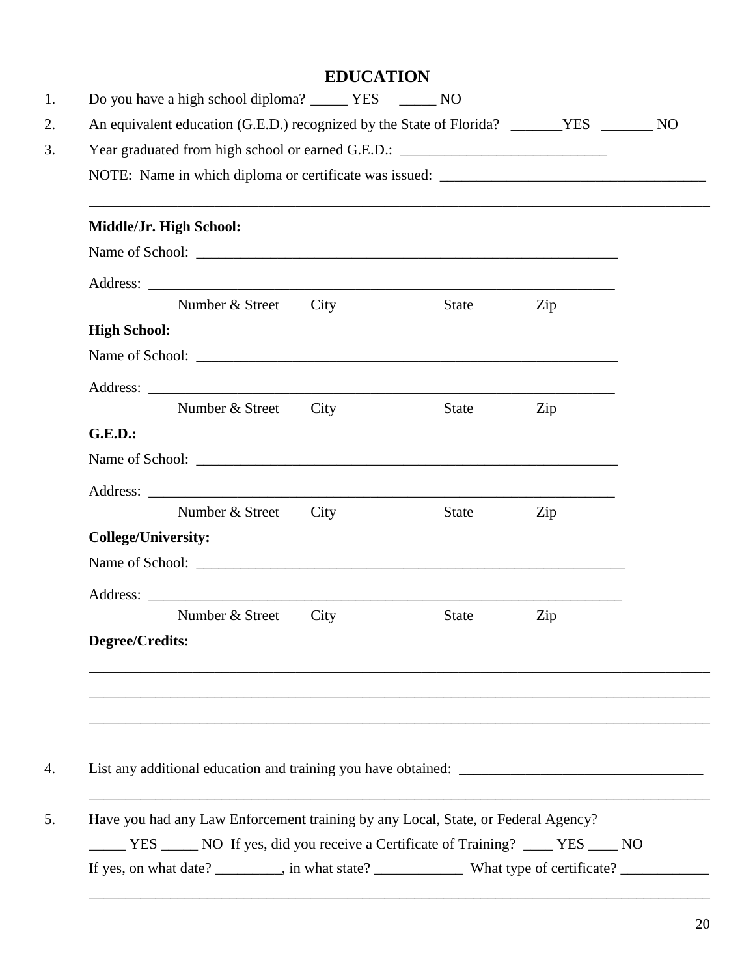| <b>EDUCATION</b> |  |
|------------------|--|
|------------------|--|

|                            |                         |      |       | ,我们也不会有什么。""我们的人,我们也不会有什么?""我们的人,我们也不会有什么?""我们的人,我们也不会有什么?""我们的人,我们也不会有什么?""我们的人 |  |
|----------------------------|-------------------------|------|-------|----------------------------------------------------------------------------------|--|
|                            | Middle/Jr. High School: |      |       |                                                                                  |  |
|                            |                         |      |       |                                                                                  |  |
|                            | Number & Street         | City |       |                                                                                  |  |
|                            |                         |      | State | Zip                                                                              |  |
| <b>High School:</b>        |                         |      |       |                                                                                  |  |
|                            |                         |      |       |                                                                                  |  |
|                            | Number & Street         | City | State | Zip                                                                              |  |
| <b>G.E.D.:</b>             |                         |      |       |                                                                                  |  |
|                            |                         |      |       |                                                                                  |  |
|                            |                         |      |       |                                                                                  |  |
|                            | Number & Street         | City | State | Zip                                                                              |  |
| <b>College/University:</b> |                         |      |       |                                                                                  |  |
|                            |                         |      |       |                                                                                  |  |
|                            |                         |      |       |                                                                                  |  |
|                            | Number & Street         | City | State | Zip                                                                              |  |
| Degree/Credits:            |                         |      |       |                                                                                  |  |
|                            |                         |      |       |                                                                                  |  |
|                            |                         |      |       |                                                                                  |  |
|                            |                         |      |       |                                                                                  |  |
|                            |                         |      |       |                                                                                  |  |
|                            |                         |      |       |                                                                                  |  |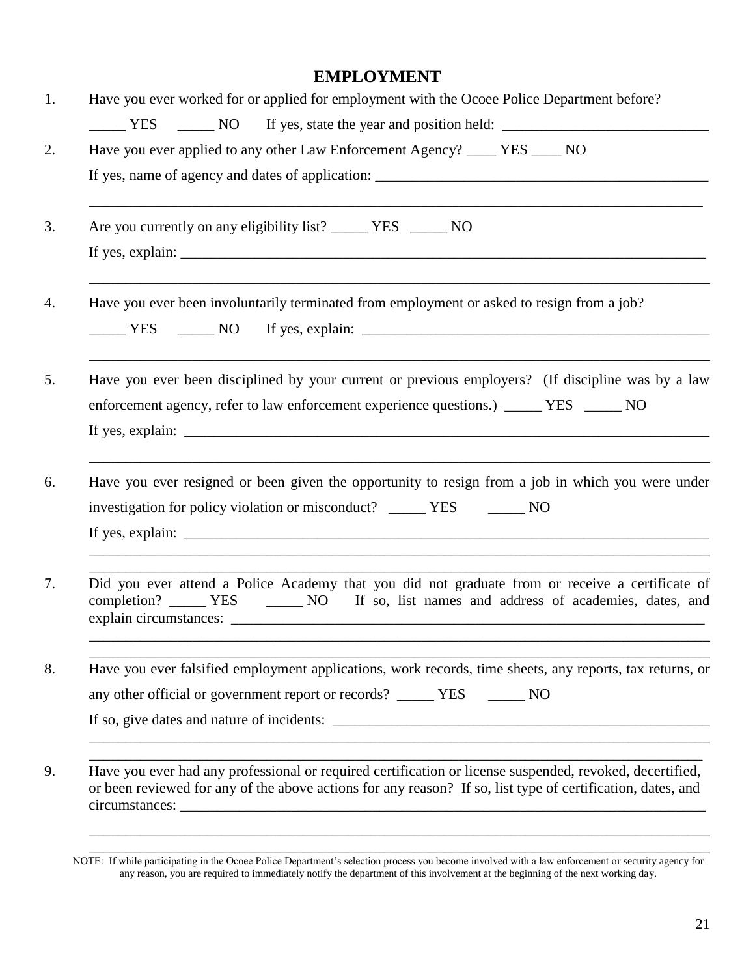#### **EMPLOYMENT**

| Have you ever worked for or applied for employment with the Ocoee Police Department before?                                                                                                   |
|-----------------------------------------------------------------------------------------------------------------------------------------------------------------------------------------------|
|                                                                                                                                                                                               |
| Have you ever applied to any other Law Enforcement Agency? ____ YES ____ NO                                                                                                                   |
|                                                                                                                                                                                               |
| Are you currently on any eligibility list? ________ YES _______ NO                                                                                                                            |
|                                                                                                                                                                                               |
| Have you ever been involuntarily terminated from employment or asked to resign from a job?                                                                                                    |
| Have you ever been disciplined by your current or previous employers? (If discipline was by a law<br>enforcement agency, refer to law enforcement experience questions.) ______ YES ______ NO |
| Have you ever resigned or been given the opportunity to resign from a job in which you were under<br>investigation for policy violation or misconduct? ______ YES _______ NO                  |
| Did you ever attend a Police Academy that you did not graduate from or receive a certificate of                                                                                               |
| Have you ever falsified employment applications, work records, time sheets, any reports, tax returns, or                                                                                      |
| any other official or government report or records? _____ YES ______ NO                                                                                                                       |
|                                                                                                                                                                                               |
| Have you ever had any professional or required certification or license suspended, revoked, decertified,                                                                                      |
|                                                                                                                                                                                               |

\_\_\_\_\_\_\_\_\_\_\_\_\_\_\_\_\_\_\_\_\_\_\_\_\_\_\_\_\_\_\_\_\_\_\_\_\_\_\_\_\_\_\_\_\_\_\_\_\_\_\_\_\_\_\_\_\_\_\_\_\_\_\_\_\_\_\_\_\_\_\_\_\_\_\_\_\_\_\_\_\_\_\_\_

NOTE: If while participating in the Ocoee Police Department's selection process you become involved with a law enforcement or security agency for any reason, you are required to immediately notify the department of this involvement at the beginning of the next working day.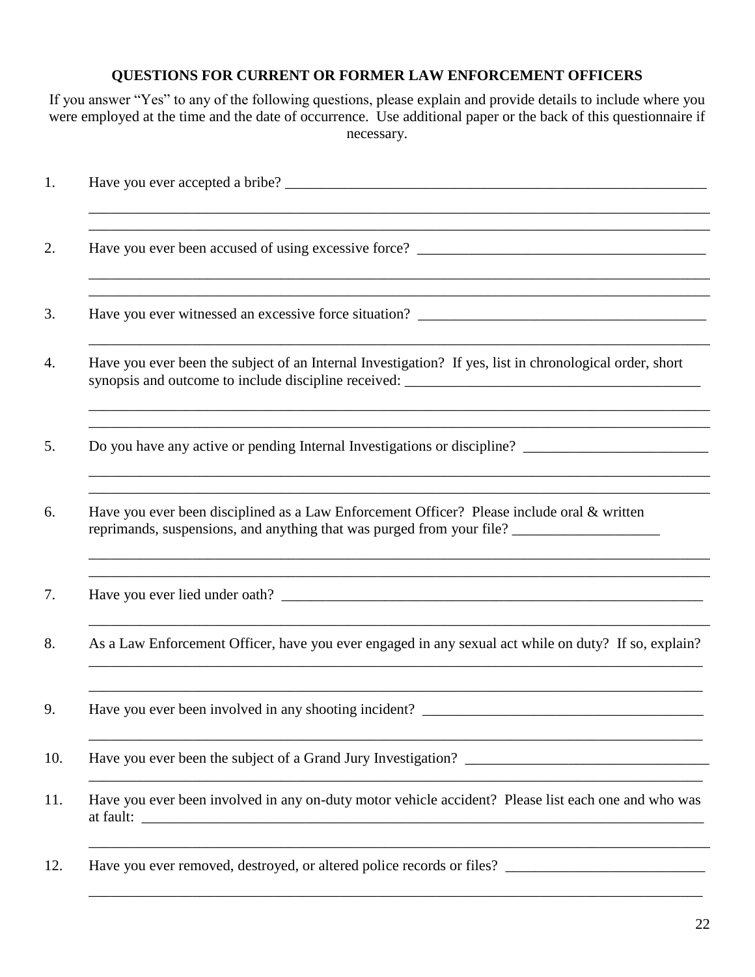#### **QUESTIONS FOR CURRENT OR FORMER LAW ENFORCEMENT OFFICERS**

If you answer "Yes" to any of the following questions, please explain and provide details to include where you were employed at the time and the date of occurrence. Use additional paper or the back of this questionnaire if necessary.

| Have you ever been the subject of an Internal Investigation? If yes, list in chronological order, short<br>,我们也不会有什么。""我们的人,我们也不会有什么?""我们的人,我们也不会有什么?""我们的人,我们也不会有什么?""我们的人,我们也不会有什么?""我们的人                                                                                            |
|----------------------------------------------------------------------------------------------------------------------------------------------------------------------------------------------------------------------------------------------------------------------------------------|
| Do you have any active or pending Internal Investigations or discipline? ___________________________                                                                                                                                                                                   |
| Have you ever been disciplined as a Law Enforcement Officer? Please include oral & written<br>reprimands, suspensions, and anything that was purged from your file? _____________________________<br>,我们也不能在这里的时候,我们也不能在这里的时候,我们也不能会在这里的时候,我们也不能会在这里的时候,我们也不能会在这里的时候,我们也不能会在这里的时候,我们也不 |
| ,我们也不能在这里的时候,我们也不能在这里的时候,我们也不能会在这里的时候,我们也不能会在这里的时候,我们也不能会在这里的时候,我们也不能会在这里的时候,我们也不                                                                                                                                                                                                      |
| As a Law Enforcement Officer, have you ever engaged in any sexual act while on duty? If so, explain?                                                                                                                                                                                   |
| Have you ever been involved in any shooting incident?                                                                                                                                                                                                                                  |
|                                                                                                                                                                                                                                                                                        |
| Have you ever been involved in any on-duty motor vehicle accident? Please list each one and who was                                                                                                                                                                                    |
| Have you ever removed, destroyed, or altered police records or files? ______________________________                                                                                                                                                                                   |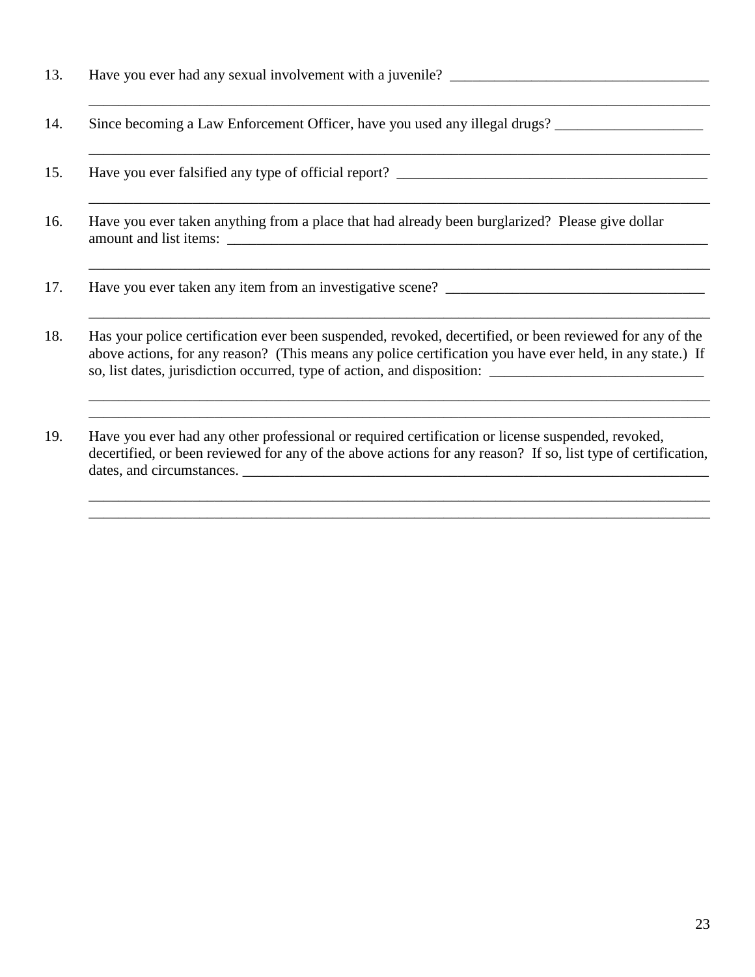- 13. Have you ever had any sexual involvement with a juvenile?
- 14. Since becoming a Law Enforcement Officer, have you used any illegal drugs?
- 15. Have you ever falsified any type of official report? \_\_\_\_\_\_\_\_\_\_\_\_\_\_\_\_\_\_\_\_\_\_\_\_\_\_\_\_\_\_\_\_\_\_\_\_\_\_\_\_\_\_
- 16. Have you ever taken anything from a place that had already been burglarized? Please give dollar amount and list items:

\_\_\_\_\_\_\_\_\_\_\_\_\_\_\_\_\_\_\_\_\_\_\_\_\_\_\_\_\_\_\_\_\_\_\_\_\_\_\_\_\_\_\_\_\_\_\_\_\_\_\_\_\_\_\_\_\_\_\_\_\_\_\_\_\_\_\_\_\_\_\_\_\_\_\_\_\_\_\_\_\_\_\_\_

\_\_\_\_\_\_\_\_\_\_\_\_\_\_\_\_\_\_\_\_\_\_\_\_\_\_\_\_\_\_\_\_\_\_\_\_\_\_\_\_\_\_\_\_\_\_\_\_\_\_\_\_\_\_\_\_\_\_\_\_\_\_\_\_\_\_\_\_\_\_\_\_\_\_\_\_\_\_\_\_\_\_\_\_

\_\_\_\_\_\_\_\_\_\_\_\_\_\_\_\_\_\_\_\_\_\_\_\_\_\_\_\_\_\_\_\_\_\_\_\_\_\_\_\_\_\_\_\_\_\_\_\_\_\_\_\_\_\_\_\_\_\_\_\_\_\_\_\_\_\_\_\_\_\_\_\_\_\_\_\_\_\_\_\_\_\_\_\_

\_\_\_\_\_\_\_\_\_\_\_\_\_\_\_\_\_\_\_\_\_\_\_\_\_\_\_\_\_\_\_\_\_\_\_\_\_\_\_\_\_\_\_\_\_\_\_\_\_\_\_\_\_\_\_\_\_\_\_\_\_\_\_\_\_\_\_\_\_\_\_\_\_\_\_\_\_\_\_\_\_\_\_\_

\_\_\_\_\_\_\_\_\_\_\_\_\_\_\_\_\_\_\_\_\_\_\_\_\_\_\_\_\_\_\_\_\_\_\_\_\_\_\_\_\_\_\_\_\_\_\_\_\_\_\_\_\_\_\_\_\_\_\_\_\_\_\_\_\_\_\_\_\_\_\_\_\_\_\_\_\_\_\_\_\_\_\_\_ \_\_\_\_\_\_\_\_\_\_\_\_\_\_\_\_\_\_\_\_\_\_\_\_\_\_\_\_\_\_\_\_\_\_\_\_\_\_\_\_\_\_\_\_\_\_\_\_\_\_\_\_\_\_\_\_\_\_\_\_\_\_\_\_\_\_\_\_\_\_\_\_\_\_\_\_\_\_\_\_\_\_\_\_

\_\_\_\_\_\_\_\_\_\_\_\_\_\_\_\_\_\_\_\_\_\_\_\_\_\_\_\_\_\_\_\_\_\_\_\_\_\_\_\_\_\_\_\_\_\_\_\_\_\_\_\_\_\_\_\_\_\_\_\_\_\_\_\_\_\_\_\_\_\_\_\_\_\_\_\_\_\_\_\_\_\_\_\_ \_\_\_\_\_\_\_\_\_\_\_\_\_\_\_\_\_\_\_\_\_\_\_\_\_\_\_\_\_\_\_\_\_\_\_\_\_\_\_\_\_\_\_\_\_\_\_\_\_\_\_\_\_\_\_\_\_\_\_\_\_\_\_\_\_\_\_\_\_\_\_\_\_\_\_\_\_\_\_\_\_\_\_\_

- 17. Have you ever taken any item from an investigative scene? \_\_\_\_\_\_\_\_\_\_\_\_\_\_\_\_\_\_\_\_\_\_\_\_\_\_\_\_\_\_\_\_\_\_\_
- 18. Has your police certification ever been suspended, revoked, decertified, or been reviewed for any of the above actions, for any reason? (This means any police certification you have ever held, in any state.) If so, list dates, jurisdiction occurred, type of action, and disposition: \_\_\_\_\_\_\_\_\_\_\_\_\_\_\_\_\_\_\_\_\_\_\_\_\_\_\_\_\_
- 19. Have you ever had any other professional or required certification or license suspended, revoked, decertified, or been reviewed for any of the above actions for any reason? If so, list type of certification, dates, and circumstances. \_\_\_\_\_\_\_\_\_\_\_\_\_\_\_\_\_\_\_\_\_\_\_\_\_\_\_\_\_\_\_\_\_\_\_\_\_\_\_\_\_\_\_\_\_\_\_\_\_\_\_\_\_\_\_\_\_\_\_\_\_\_\_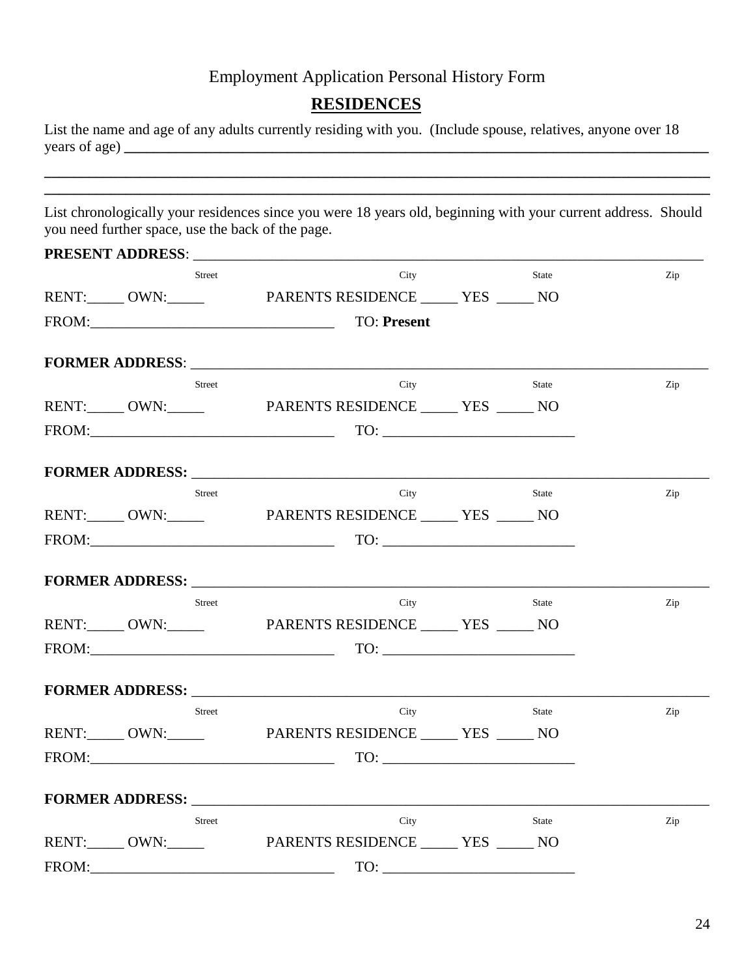#### **RESIDENCES**

List the name and age of any adults currently residing with you. (Include spouse, relatives, anyone over 18 years of age) **\_\_\_\_\_\_\_\_\_\_\_\_\_\_\_\_\_\_\_\_\_\_\_\_\_\_\_\_\_\_\_\_\_\_\_\_\_\_\_\_\_\_\_\_\_\_\_\_\_\_\_\_\_\_\_\_\_\_\_\_\_\_\_\_\_\_\_\_\_\_\_\_\_\_\_\_\_\_\_**

List chronologically your residences since you were 18 years old, beginning with your current address. Should you need further space, use the back of the page.

|       | Street        | City                                                                                                                                                                                                                                                 | State | Zip |
|-------|---------------|------------------------------------------------------------------------------------------------------------------------------------------------------------------------------------------------------------------------------------------------------|-------|-----|
|       |               | RENT: _____ OWN: _____ PARENTS RESIDENCE _____ YES _____ NO                                                                                                                                                                                          |       |     |
|       |               | FROM: The contract of the contract of the contract of the contract of the contract of the contract of the contract of the contract of the contract of the contract of the contract of the contract of the contract of the cont<br><b>TO: Present</b> |       |     |
|       |               |                                                                                                                                                                                                                                                      |       |     |
|       | <b>Street</b> | City                                                                                                                                                                                                                                                 | State | Zip |
|       |               | RENT: _____ OWN: _____ PARENTS RESIDENCE _____ YES _____ NO                                                                                                                                                                                          |       |     |
|       |               |                                                                                                                                                                                                                                                      |       |     |
|       |               | <b>FORMER ADDRESS:</b> The state of the state of the state of the state of the state of the state of the state of the state of the state of the state of the state of the state of the state of the state of the state of the state                  |       |     |
|       | Street        | City                                                                                                                                                                                                                                                 | State | Zip |
|       |               | RENT: _____ OWN: _____ PARENTS RESIDENCE _____ YES _____ NO                                                                                                                                                                                          |       |     |
|       |               | FROM: TO: TO:                                                                                                                                                                                                                                        |       |     |
|       |               |                                                                                                                                                                                                                                                      |       |     |
|       | <b>Street</b> | City                                                                                                                                                                                                                                                 | State | Zip |
|       |               | RENT: _____ OWN: _____ PARENTS RESIDENCE _____ YES _____ NO                                                                                                                                                                                          |       |     |
|       |               |                                                                                                                                                                                                                                                      |       |     |
|       |               |                                                                                                                                                                                                                                                      |       |     |
|       | Street        | City                                                                                                                                                                                                                                                 | State | Zip |
|       |               | RENT: _____ OWN: _____ PARENTS RESIDENCE _____ YES _____ NO                                                                                                                                                                                          |       |     |
|       |               | FROM: TO: TO:                                                                                                                                                                                                                                        |       |     |
|       |               |                                                                                                                                                                                                                                                      |       |     |
|       | <b>Street</b> | City                                                                                                                                                                                                                                                 | State | Zip |
|       |               | RENT: _____ OWN: _____ PARENTS RESIDENCE _____ YES _____ NO                                                                                                                                                                                          |       |     |
| FROM: |               | $\begin{tabular}{c} TO: \begin{tabular}{@{}c@{}} \quad \quad & \quad \quad & \quad \quad & \quad \quad \\ \hline \end{tabular} \end{tabular}$                                                                                                        |       |     |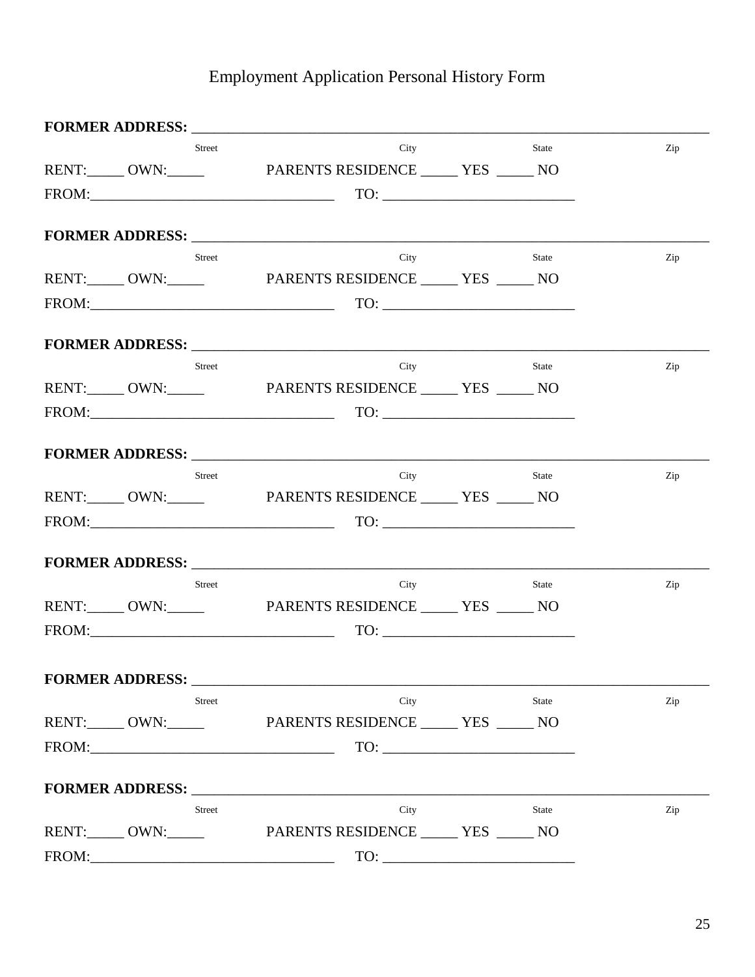|                        | <b>Street</b> | City                                                                                                                                                                                                                                                                                                                                                                                                                                                                                                                                                                      | <b>State</b> | Zip |
|------------------------|---------------|---------------------------------------------------------------------------------------------------------------------------------------------------------------------------------------------------------------------------------------------------------------------------------------------------------------------------------------------------------------------------------------------------------------------------------------------------------------------------------------------------------------------------------------------------------------------------|--------------|-----|
|                        |               | RENT: _____ OWN: _____ PARENTS RESIDENCE _____ YES _____ NO                                                                                                                                                                                                                                                                                                                                                                                                                                                                                                               |              |     |
|                        |               | $TOS$ FROM: $TOS$                                                                                                                                                                                                                                                                                                                                                                                                                                                                                                                                                         |              |     |
|                        |               |                                                                                                                                                                                                                                                                                                                                                                                                                                                                                                                                                                           |              |     |
|                        |               | <b>FORMER ADDRESS:</b>                                                                                                                                                                                                                                                                                                                                                                                                                                                                                                                                                    |              |     |
|                        | Street        | City                                                                                                                                                                                                                                                                                                                                                                                                                                                                                                                                                                      | State        | Zip |
|                        |               | RENT: OWN: PARENTS RESIDENCE _____ YES _____ NO                                                                                                                                                                                                                                                                                                                                                                                                                                                                                                                           |              |     |
|                        |               | $TQ: \underline{\hspace{1cm}} \qquad TQ: \underline{\hspace{1cm}} \qquad \qquad TQ: \underline{\hspace{1cm}} \qquad \qquad TQ: \underline{\hspace{1cm}} \qquad \qquad TQ: \underline{\hspace{1cm}} \qquad \qquad TQ: \underline{\hspace{1cm}} \qquad \qquad TQ: \underline{\hspace{1cm}} \qquad \qquad TQ: \underline{\hspace{1cm}} \qquad \qquad TQ: \underline{\hspace{1cm}} \qquad \qquad TQ: \underline{\hspace{1cm}} \qquad \qquad TQ: \underline{\hspace{1cm}} \qquad \qquad TQ: \underline{\hspace{1cm}} \qquad \qquad TQ: \underline{\hs$                         |              |     |
|                        |               |                                                                                                                                                                                                                                                                                                                                                                                                                                                                                                                                                                           |              |     |
|                        |               |                                                                                                                                                                                                                                                                                                                                                                                                                                                                                                                                                                           |              |     |
|                        | <b>Street</b> | City<br>RENT: _____ OWN: _____ PARENTS RESIDENCE _____ YES _____ NO                                                                                                                                                                                                                                                                                                                                                                                                                                                                                                       | <b>State</b> | Zip |
|                        |               |                                                                                                                                                                                                                                                                                                                                                                                                                                                                                                                                                                           |              |     |
|                        |               |                                                                                                                                                                                                                                                                                                                                                                                                                                                                                                                                                                           |              |     |
|                        |               | FORMER ADDRESS: North and the second state of the second state of the second state of the second state of the second state of the second state of the second state of the second state of the second state of the second state                                                                                                                                                                                                                                                                                                                                            |              |     |
|                        | <b>Street</b> | City                                                                                                                                                                                                                                                                                                                                                                                                                                                                                                                                                                      | State        | Zip |
|                        |               | RENT: OWN: PARENTS RESIDENCE _____ YES _____ NO                                                                                                                                                                                                                                                                                                                                                                                                                                                                                                                           |              |     |
|                        |               | $\text{FROM:}\n \begin{tabular}{c c c c} \hline \multicolumn{3}{c}{\text{FROM:}} \multicolumn{3}{c}{\text{FROM:}} \multicolumn{3}{c}{\text{FROM:}} \multicolumn{3}{c}{\text{FROM:}} \multicolumn{3}{c}{\text{FROM:}} \multicolumn{3}{c}{\text{FOM:}} \multicolumn{3}{c}{\text{FOM:}} \multicolumn{3}{c}{\text{FOM:}} \multicolumn{3}{c}{\text{FOM:}} \multicolumn{3}{c}{\text{FOM:}} \multicolumn{3}{c}{\text{FOM:}} \multicolumn{3}{c}{\text{FOM:}} \multic$                                                                                                             |              |     |
|                        |               |                                                                                                                                                                                                                                                                                                                                                                                                                                                                                                                                                                           |              |     |
|                        |               |                                                                                                                                                                                                                                                                                                                                                                                                                                                                                                                                                                           |              |     |
|                        | Street        | City                                                                                                                                                                                                                                                                                                                                                                                                                                                                                                                                                                      | <b>State</b> | Zip |
|                        |               | RENT: OWN: PARENTS RESIDENCE _____ YES _____ NO                                                                                                                                                                                                                                                                                                                                                                                                                                                                                                                           |              |     |
|                        |               | $\begin{tabular}{c} TO: \begin{tabular}{@{}c@{}} \quad {\bf \footnotesize{LO}}: & \quad {\bf \footnotesize{LO}}: & \quad {\bf \footnotesize{LO}}: & \quad {\bf \footnotesize{LO}}: & \quad {\bf \footnotesize{LO}}: & \quad {\bf \footnotesize{LO}}: & \quad {\bf \footnotesize{LO}}: & \quad {\bf \footnotesize{LO}}: & \quad {\bf \footnotesize{LO}}: & \quad {\bf \footnotesize{LO}}: & \quad {\bf \footnotesize{LO}}: & \quad {\bf \footnotesize{LO}}: & \quad {\bf \footnotesize{LO}}: & \quad {\bf \footnotesize{LO}}: & \quad {\bf \footnotesize{LO}}: & \quad {\$ |              |     |
|                        |               |                                                                                                                                                                                                                                                                                                                                                                                                                                                                                                                                                                           |              |     |
|                        |               | FORMER ADDRESS: North Contract of the Second Second Second Second Second Second Second Second Second Second Second Second Second Second Second Second Second Second Second Second Second Second Second Second Second Second Se                                                                                                                                                                                                                                                                                                                                            |              |     |
|                        | <b>Street</b> | City                                                                                                                                                                                                                                                                                                                                                                                                                                                                                                                                                                      | <b>State</b> | Zip |
|                        |               | RENT: _____ OWN: _____ PARENTS RESIDENCE _____ YES _____ NO                                                                                                                                                                                                                                                                                                                                                                                                                                                                                                               |              |     |
|                        |               | $\begin{tabular}{c} TO: \begin{tabular}{@{}c@{}} \quad \quad & \quad \quad & \quad \quad & \quad \quad \\ \hline \end{tabular} \end{tabular}$                                                                                                                                                                                                                                                                                                                                                                                                                             |              |     |
|                        |               |                                                                                                                                                                                                                                                                                                                                                                                                                                                                                                                                                                           |              |     |
|                        |               | FORMER ADDRESS: North and the set of the set of the set of the set of the set of the set of the set of the set of the set of the set of the set of the set of the set of the set of the set of the set of the set of the set o                                                                                                                                                                                                                                                                                                                                            |              |     |
|                        | <b>Street</b> | City                                                                                                                                                                                                                                                                                                                                                                                                                                                                                                                                                                      | <b>State</b> | Zip |
| RENT:______ OWN:______ |               | PARENTS RESIDENCE _______ YES ______ NO                                                                                                                                                                                                                                                                                                                                                                                                                                                                                                                                   |              |     |
|                        |               | FROM:                                                                                                                                                                                                                                                                                                                                                                                                                                                                                                                                                                     |              |     |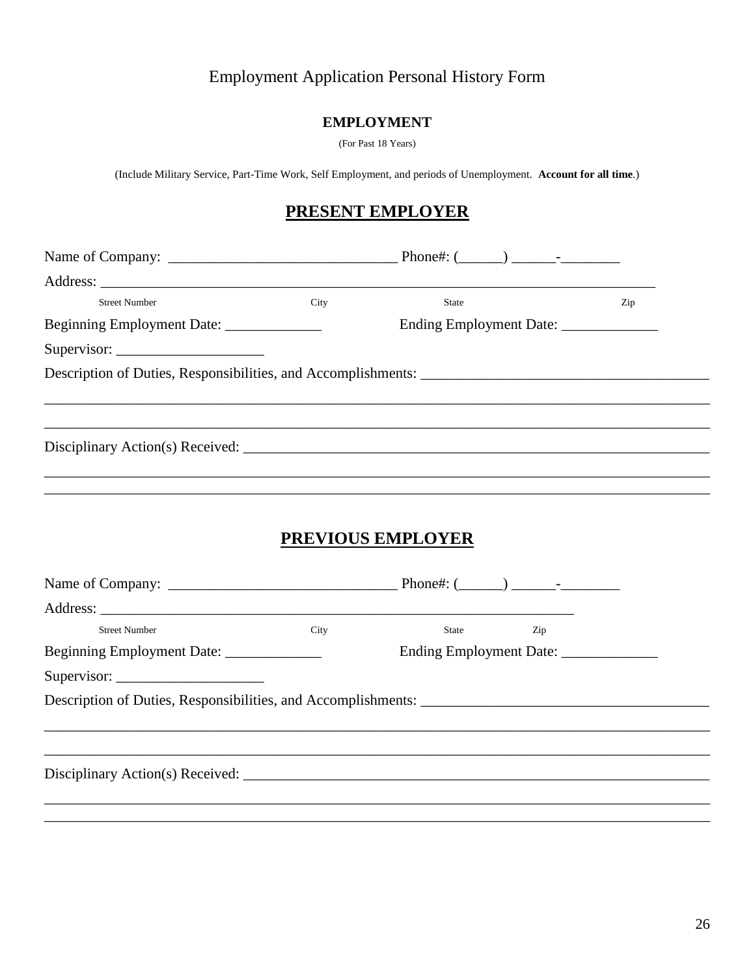#### **EMPLOYMENT**

(For Past 18 Years)

(Include Military Service, Part-Time Work, Self Employment, and periods of Unemployment. Account for all time.)

## **PRESENT EMPLOYER**

| <b>Street Number</b>                      | City | <b>State</b>        | Zip |
|-------------------------------------------|------|---------------------|-----|
| Beginning Employment Date: ______________ |      |                     |     |
|                                           |      |                     |     |
|                                           |      |                     |     |
|                                           |      |                     |     |
|                                           |      |                     |     |
|                                           |      |                     |     |
|                                           |      |                     |     |
|                                           |      |                     |     |
|                                           |      | PREVIOUS EMPLOYER   |     |
|                                           |      |                     |     |
|                                           |      |                     |     |
|                                           |      |                     |     |
| <b>Street Number</b>                      | City | <b>State</b><br>Zip |     |
| Beginning Employment Date: ______________ |      |                     |     |
|                                           |      |                     |     |
|                                           |      |                     |     |
|                                           |      |                     |     |
|                                           |      |                     |     |
|                                           |      |                     |     |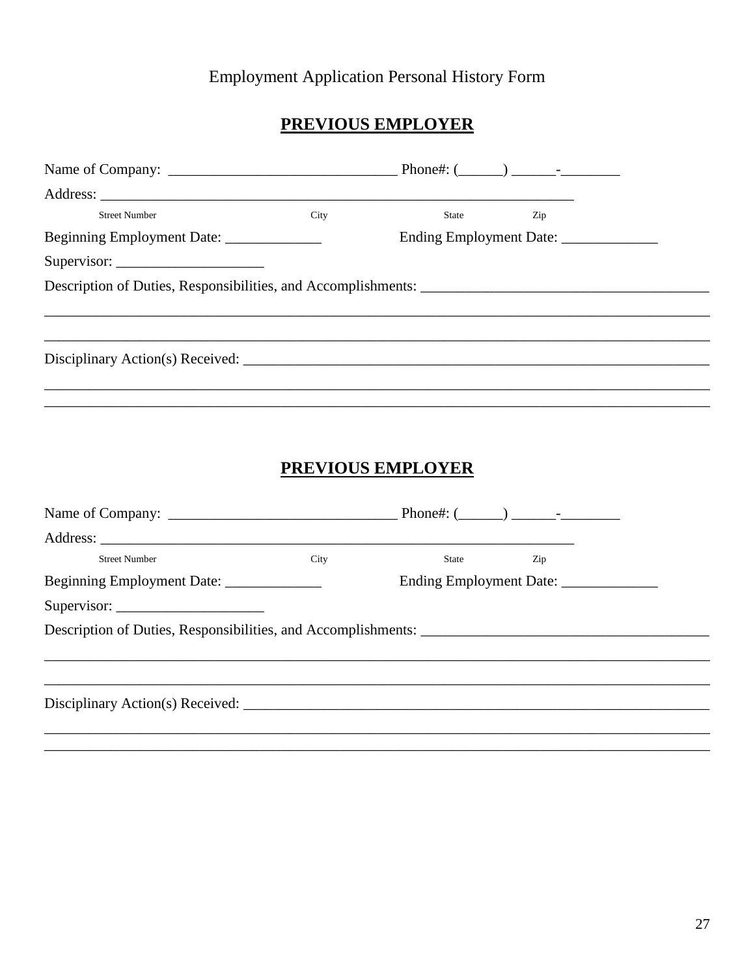## **PREVIOUS EMPLOYER**

| <b>Street Number</b>                                                                                                                                                                                                                                                                                                                                                                                                | City | State                                  | Zip |  |
|---------------------------------------------------------------------------------------------------------------------------------------------------------------------------------------------------------------------------------------------------------------------------------------------------------------------------------------------------------------------------------------------------------------------|------|----------------------------------------|-----|--|
| Beginning Employment Date: ______________                                                                                                                                                                                                                                                                                                                                                                           |      | Ending Employment Date: ______________ |     |  |
| Supervisor: $\frac{1}{\sqrt{1-\frac{1}{2}}}\frac{1}{\sqrt{1-\frac{1}{2}}}\frac{1}{\sqrt{1-\frac{1}{2}}}\frac{1}{\sqrt{1-\frac{1}{2}}}\frac{1}{\sqrt{1-\frac{1}{2}}}\frac{1}{\sqrt{1-\frac{1}{2}}}\frac{1}{\sqrt{1-\frac{1}{2}}}\frac{1}{\sqrt{1-\frac{1}{2}}}\frac{1}{\sqrt{1-\frac{1}{2}}}\frac{1}{\sqrt{1-\frac{1}{2}}}\frac{1}{\sqrt{1-\frac{1}{2}}}\frac{1}{\sqrt{1-\frac{1}{2}}}\frac{1}{\sqrt{1-\frac{1}{2}}$ |      |                                        |     |  |
| Description of Duties, Responsibilities, and Accomplishments:                                                                                                                                                                                                                                                                                                                                                       |      |                                        |     |  |
|                                                                                                                                                                                                                                                                                                                                                                                                                     |      |                                        |     |  |
|                                                                                                                                                                                                                                                                                                                                                                                                                     |      |                                        |     |  |
| Disciplinary Action(s) Received:                                                                                                                                                                                                                                                                                                                                                                                    |      |                                        |     |  |
|                                                                                                                                                                                                                                                                                                                                                                                                                     |      |                                        |     |  |

## **PREVIOUS EMPLOYER**

| <b>Street Number</b>                      | City | State | Zip                                     |  |
|-------------------------------------------|------|-------|-----------------------------------------|--|
| Beginning Employment Date: ______________ |      |       | Ending Employment Date: _______________ |  |
| Supervisor:                               |      |       |                                         |  |
|                                           |      |       |                                         |  |
|                                           |      |       |                                         |  |
|                                           |      |       |                                         |  |
|                                           |      |       |                                         |  |
|                                           |      |       |                                         |  |
|                                           |      |       |                                         |  |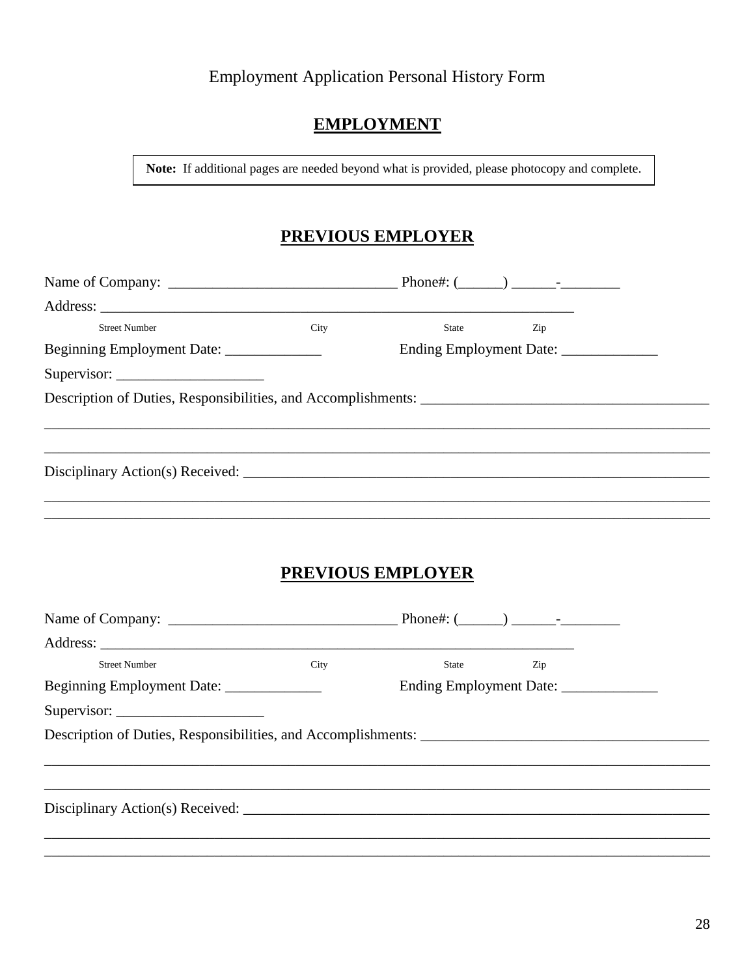### **EMPLOYMENT**

Note: If additional pages are needed beyond what is provided, please photocopy and complete.

## **PREVIOUS EMPLOYER**

| <b>Street Number</b>                      | City | <b>State</b> State State State State State State State State State State State State State State State State State State State State State State State State State State State State State State State State State State State Stat<br>Zip |  |
|-------------------------------------------|------|--------------------------------------------------------------------------------------------------------------------------------------------------------------------------------------------------------------------------------------------|--|
| Beginning Employment Date: ______________ |      | Ending Employment Date: ______________                                                                                                                                                                                                     |  |
|                                           |      |                                                                                                                                                                                                                                            |  |
|                                           |      |                                                                                                                                                                                                                                            |  |
|                                           |      | Disciplinary Action(s) Received: $\sqrt{ }$                                                                                                                                                                                                |  |
|                                           |      |                                                                                                                                                                                                                                            |  |
|                                           |      | PREVIOUS EMPLOYER                                                                                                                                                                                                                          |  |
|                                           |      |                                                                                                                                                                                                                                            |  |
| <b>Street Number</b>                      | City | State<br>Zip                                                                                                                                                                                                                               |  |
| Beginning Employment Date: ______________ |      |                                                                                                                                                                                                                                            |  |
|                                           |      |                                                                                                                                                                                                                                            |  |
|                                           |      |                                                                                                                                                                                                                                            |  |
|                                           |      |                                                                                                                                                                                                                                            |  |
|                                           |      |                                                                                                                                                                                                                                            |  |
|                                           |      |                                                                                                                                                                                                                                            |  |
|                                           |      |                                                                                                                                                                                                                                            |  |
|                                           |      |                                                                                                                                                                                                                                            |  |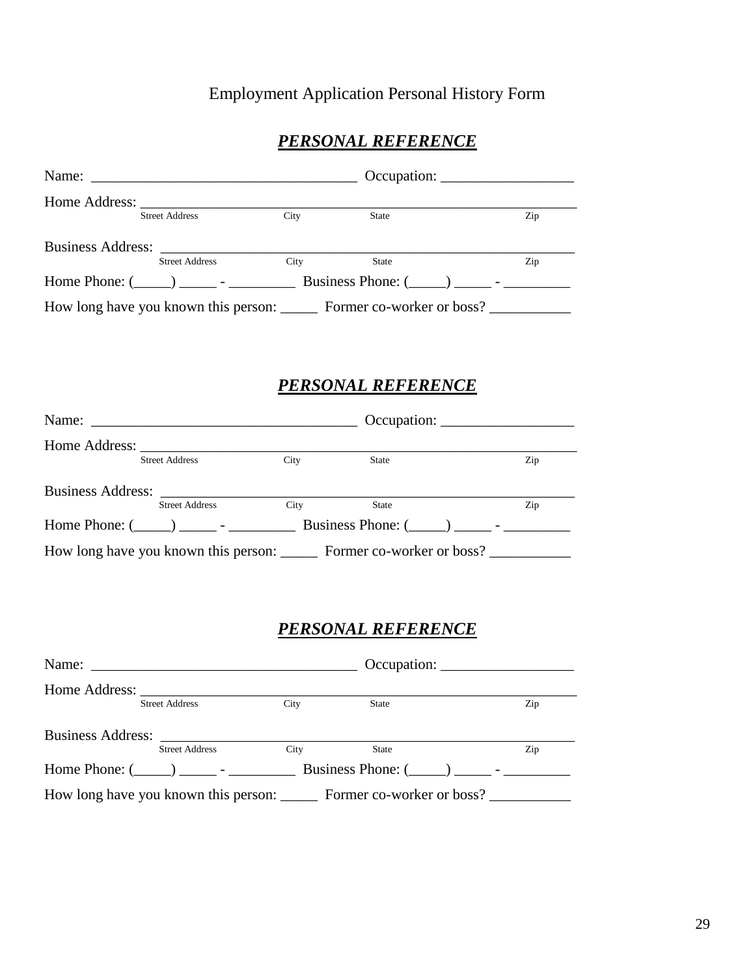## *PERSONAL REFERENCE*

| Home Address: |                       |      |                                                                                   |     |
|---------------|-----------------------|------|-----------------------------------------------------------------------------------|-----|
|               | <b>Street Address</b> | City | State                                                                             | Zip |
|               |                       |      |                                                                                   |     |
|               | <b>Street Address</b> | City | State                                                                             | Zip |
|               |                       |      | Home Phone: $(\_\_\_\_\_\_$ - Business Phone: $(\_\_\_\_\_\_$ -                   |     |
|               |                       |      | How long have you known this person: ________ Former co-worker or boss? _________ |     |

#### *PERSONAL REFERENCE*

|                   |                       |      |       | $Occupation: \_\_\_\_\_\_\_\_\_\_\_\_\_\_\_\_\_\_\_\_\_\_\_\_\_\_\_\_$            |
|-------------------|-----------------------|------|-------|-----------------------------------------------------------------------------------|
|                   |                       |      |       |                                                                                   |
|                   | <b>Street Address</b> | City | State | Zip                                                                               |
| Business Address: |                       |      |       |                                                                                   |
|                   | <b>Street Address</b> | City | State | Zip                                                                               |
|                   |                       |      |       |                                                                                   |
|                   |                       |      |       | How long have you known this person: ________ Former co-worker or boss? _________ |

## *PERSONAL REFERENCE*

| Home Address: |                       |      |                                                                                 |     |
|---------------|-----------------------|------|---------------------------------------------------------------------------------|-----|
|               | <b>Street Address</b> | City | State                                                                           | Zip |
|               |                       |      |                                                                                 |     |
|               | <b>Street Address</b> | City | State                                                                           | Zip |
|               |                       |      | Home Phone: $(\_\_\_\_)$ $\_\_\_\_$ - Business Phone: $(\_\_\_\_)$ $\_\_\_\_\_$ |     |
|               |                       |      | How long have you known this person: Former co-worker or boss?                  |     |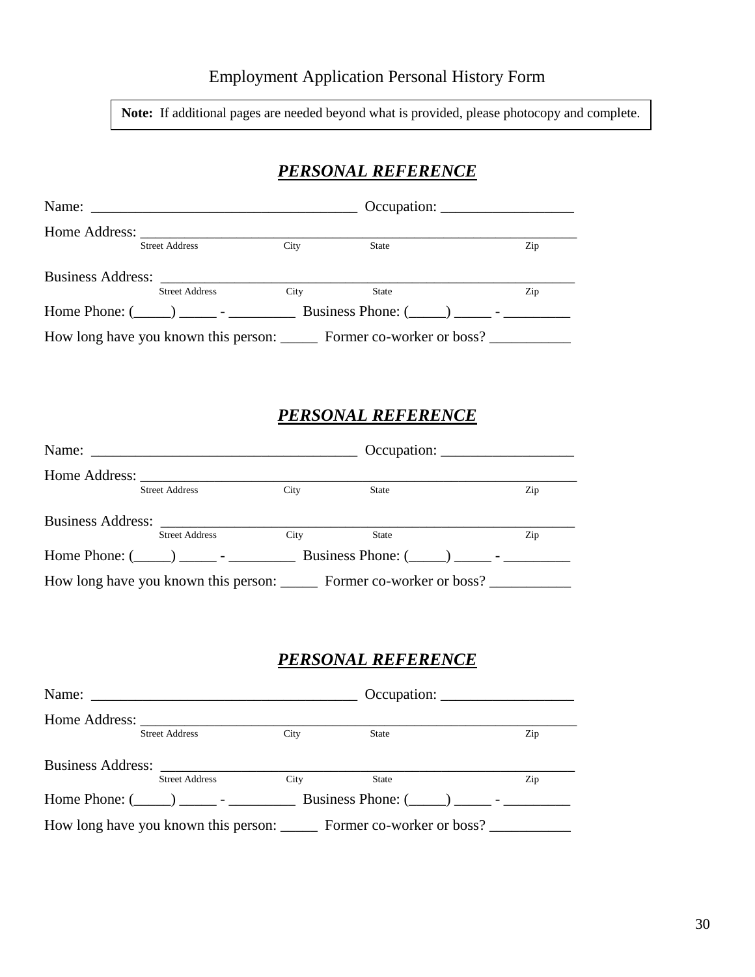**Note:** If additional pages are needed beyond what is provided, please photocopy and complete.

### *PERSONAL REFERENCE*

|                                                                                 |                                                                                         |             |                           |  | $Occupation: \_\_\_\_\_\_\_\_\_\_\_\_\_\_\_\_\_\_\_\_\_\_\_\_\_\_\_\_\_\_\_\_$   |  |  |
|---------------------------------------------------------------------------------|-----------------------------------------------------------------------------------------|-------------|---------------------------|--|----------------------------------------------------------------------------------|--|--|
|                                                                                 | <b>Street Address</b>                                                                   | <b>City</b> | <b>State</b>              |  | Zip                                                                              |  |  |
|                                                                                 |                                                                                         |             |                           |  |                                                                                  |  |  |
|                                                                                 | <b>Street Address</b>                                                                   | City        | <b>State</b>              |  | Zip                                                                              |  |  |
| Home Phone: $(\_\_\_\_)$ $\_\_\_\_$ - Business Phone: $(\_\_\_\_)$ $\_\_\_\_\_$ |                                                                                         |             |                           |  |                                                                                  |  |  |
|                                                                                 | How long have you known this person: ________ Former co-worker or boss? _______________ |             |                           |  |                                                                                  |  |  |
|                                                                                 |                                                                                         |             |                           |  |                                                                                  |  |  |
|                                                                                 |                                                                                         |             |                           |  |                                                                                  |  |  |
|                                                                                 |                                                                                         |             | <b>PERSONAL REFERENCE</b> |  |                                                                                  |  |  |
|                                                                                 |                                                                                         |             |                           |  | $Occupation: \_\_\_\_\_\_\_\_\_\_\_\_\_\_\_\_\_\_\_\_\_\_\_\_\_\_\_\_\_\_\_\_\_$ |  |  |
|                                                                                 |                                                                                         |             |                           |  |                                                                                  |  |  |
|                                                                                 | <b>Street Address</b>                                                                   | City        | <b>State</b>              |  | Zip                                                                              |  |  |

#### Business Address: \_\_\_\_\_\_\_\_\_\_\_\_\_\_\_\_\_\_\_\_\_\_\_\_\_\_\_\_\_\_\_\_\_\_\_\_\_\_\_\_\_\_\_\_\_\_\_\_\_\_\_\_\_\_\_\_ Street Address City State Zip Home Phone: (\_\_\_\_\_) \_\_\_\_\_ - \_\_\_\_\_\_\_\_\_ Business Phone: (\_\_\_\_\_) \_\_\_\_\_ - \_\_\_\_\_\_\_\_\_ How long have you known this person: \_\_\_\_\_\_ Former co-worker or boss? \_\_\_\_\_\_\_\_\_\_

#### *PERSONAL REFERENCE*

|                          |                       |      |                                                                                        | $Occupation: \_\_\_\_\_\_\_\_\_\_\_\_\_\_\_\_\_\_\_\_\_\_\_\_\_\_\_\_\_\_\_\_$ |
|--------------------------|-----------------------|------|----------------------------------------------------------------------------------------|--------------------------------------------------------------------------------|
| Home Address:            | <b>Street Address</b> | City | State                                                                                  | Zip                                                                            |
| <b>Business Address:</b> | <b>Street Address</b> | City | State                                                                                  | Zip                                                                            |
|                          |                       |      | Business Phone: $(\_\_)$ $\_\_$ -                                                      |                                                                                |
|                          |                       |      | How long have you known this person: ________ Former co-worker or boss? ______________ |                                                                                |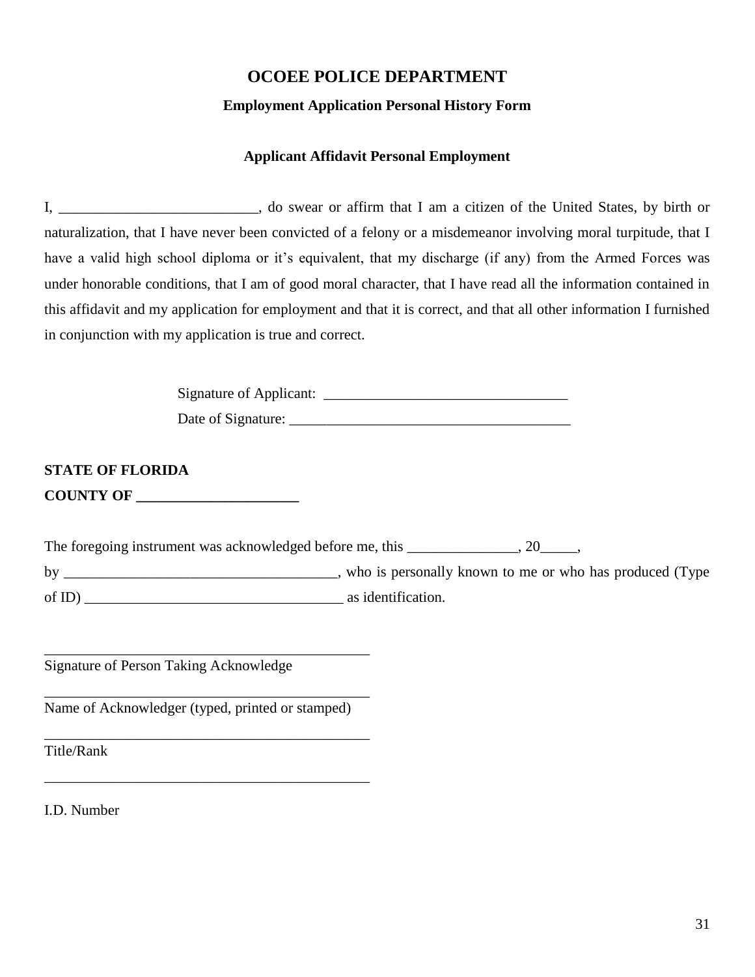## **OCOEE POLICE DEPARTMENT Employment Application Personal History Form**

#### **Applicant Affidavit Personal Employment**

I, \_\_\_\_\_\_\_\_\_\_\_\_\_\_\_\_\_\_\_\_\_\_\_\_\_\_\_, do swear or affirm that I am a citizen of the United States, by birth or naturalization, that I have never been convicted of a felony or a misdemeanor involving moral turpitude, that I have a valid high school diploma or it's equivalent, that my discharge (if any) from the Armed Forces was under honorable conditions, that I am of good moral character, that I have read all the information contained in this affidavit and my application for employment and that it is correct, and that all other information I furnished in conjunction with my application is true and correct.

> Signature of Applicant: \_\_\_\_\_\_\_\_\_\_\_\_\_\_\_\_\_\_\_\_\_\_\_\_\_\_\_\_\_\_\_\_\_ Date of Signature: \_\_\_\_\_\_\_\_\_\_\_\_\_\_\_\_\_\_\_\_\_\_\_\_\_\_\_\_\_\_\_\_\_\_\_\_\_\_

**STATE OF FLORIDA COUNTY OF \_\_\_\_\_\_\_\_\_\_\_\_\_\_\_\_\_\_\_\_\_\_**

The foregoing instrument was acknowledged before me, this \_\_\_\_\_\_\_\_\_\_\_\_, 20\_\_\_\_,

by \_\_\_\_\_\_\_\_\_\_\_\_\_\_\_\_\_\_\_\_\_\_\_\_\_\_\_\_\_\_\_\_\_, who is personally known to me or who has produced (Type of ID) as identification.

Signature of Person Taking Acknowledge

\_\_\_\_\_\_\_\_\_\_\_\_\_\_\_\_\_\_\_\_\_\_\_\_\_\_\_\_\_\_\_\_\_\_\_\_\_\_\_\_\_\_\_\_ Name of Acknowledger (typed, printed or stamped)

\_\_\_\_\_\_\_\_\_\_\_\_\_\_\_\_\_\_\_\_\_\_\_\_\_\_\_\_\_\_\_\_\_\_\_\_\_\_\_\_\_\_\_\_

\_\_\_\_\_\_\_\_\_\_\_\_\_\_\_\_\_\_\_\_\_\_\_\_\_\_\_\_\_\_\_\_\_\_\_\_\_\_\_\_\_\_\_\_

\_\_\_\_\_\_\_\_\_\_\_\_\_\_\_\_\_\_\_\_\_\_\_\_\_\_\_\_\_\_\_\_\_\_\_\_\_\_\_\_\_\_\_\_

Title/Rank

I.D. Number